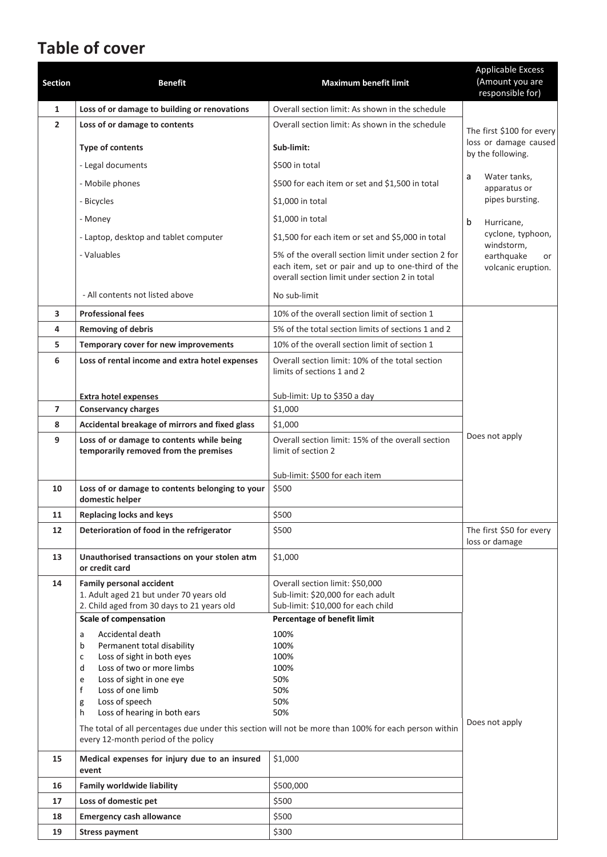# **Table of cover**

| <b>Section</b> | <b>Benefit</b>                                                                                                                | <b>Maximum benefit limit</b>                                                                                                                               | <b>Applicable Excess</b><br>(Amount you are<br>responsible for) |  |  |
|----------------|-------------------------------------------------------------------------------------------------------------------------------|------------------------------------------------------------------------------------------------------------------------------------------------------------|-----------------------------------------------------------------|--|--|
| 1              | Loss of or damage to building or renovations                                                                                  | Overall section limit: As shown in the schedule                                                                                                            |                                                                 |  |  |
| $\overline{2}$ | Loss of or damage to contents                                                                                                 | Overall section limit: As shown in the schedule                                                                                                            |                                                                 |  |  |
|                | <b>Type of contents</b>                                                                                                       | Sub-limit:                                                                                                                                                 | loss or damage caused<br>by the following.                      |  |  |
|                | - Legal documents                                                                                                             | \$500 in total                                                                                                                                             |                                                                 |  |  |
|                | - Mobile phones                                                                                                               | \$500 for each item or set and \$1,500 in total                                                                                                            | Water tanks,<br>a<br>apparatus or                               |  |  |
|                | - Bicycles                                                                                                                    | \$1,000 in total                                                                                                                                           | pipes bursting.                                                 |  |  |
|                | - Money                                                                                                                       | \$1,000 in total                                                                                                                                           | b<br>Hurricane,                                                 |  |  |
|                | - Laptop, desktop and tablet computer                                                                                         | \$1,500 for each item or set and \$5,000 in total                                                                                                          | cyclone, typhoon,                                               |  |  |
|                | - Valuables                                                                                                                   | 5% of the overall section limit under section 2 for<br>each item, set or pair and up to one-third of the<br>overall section limit under section 2 in total | windstorm,<br>earthquake<br>or<br>volcanic eruption.            |  |  |
|                | - All contents not listed above                                                                                               | No sub-limit                                                                                                                                               |                                                                 |  |  |
| 3              | <b>Professional fees</b>                                                                                                      | 10% of the overall section limit of section 1                                                                                                              |                                                                 |  |  |
| 4              | <b>Removing of debris</b>                                                                                                     | 5% of the total section limits of sections 1 and 2                                                                                                         |                                                                 |  |  |
| 5.             | Temporary cover for new improvements                                                                                          | 10% of the overall section limit of section 1                                                                                                              |                                                                 |  |  |
| 6              | Loss of rental income and extra hotel expenses                                                                                | Overall section limit: 10% of the total section<br>limits of sections 1 and 2                                                                              |                                                                 |  |  |
|                | <b>Extra hotel expenses</b>                                                                                                   | Sub-limit: Up to \$350 a day                                                                                                                               |                                                                 |  |  |
| $\overline{7}$ | <b>Conservancy charges</b>                                                                                                    | \$1,000                                                                                                                                                    |                                                                 |  |  |
| 8              | Accidental breakage of mirrors and fixed glass                                                                                | \$1,000                                                                                                                                                    |                                                                 |  |  |
| 9              | Loss of or damage to contents while being<br>temporarily removed from the premises                                            | Overall section limit: 15% of the overall section<br>limit of section 2                                                                                    | Does not apply                                                  |  |  |
|                |                                                                                                                               | Sub-limit: \$500 for each item                                                                                                                             |                                                                 |  |  |
| 10             | Loss of or damage to contents belonging to your<br>domestic helper                                                            | \$500                                                                                                                                                      |                                                                 |  |  |
| 11             | <b>Replacing locks and keys</b>                                                                                               | \$500                                                                                                                                                      |                                                                 |  |  |
| 12             | Deterioration of food in the refrigerator                                                                                     | \$500                                                                                                                                                      | The first \$50 for every<br>loss or damage                      |  |  |
| 13             | Unauthorised transactions on your stolen atm<br>or credit card                                                                | \$1,000                                                                                                                                                    |                                                                 |  |  |
| 14             | <b>Family personal accident</b>                                                                                               | Overall section limit: \$50,000                                                                                                                            |                                                                 |  |  |
|                | 1. Adult aged 21 but under 70 years old<br>2. Child aged from 30 days to 21 years old                                         | Sub-limit: \$20,000 for each adult<br>Sub-limit: \$10,000 for each child                                                                                   |                                                                 |  |  |
|                | <b>Scale of compensation</b>                                                                                                  | <b>Percentage of benefit limit</b>                                                                                                                         |                                                                 |  |  |
|                | Accidental death<br>a<br>Permanent total disability<br>b<br>Loss of sight in both eyes<br>с<br>Loss of two or more limbs<br>d | 100%<br>100%<br>100%<br>100%                                                                                                                               |                                                                 |  |  |
|                | Loss of sight in one eye<br>e<br>$\mathsf{f}$<br>Loss of one limb                                                             | 50%<br>50%                                                                                                                                                 |                                                                 |  |  |
|                | Loss of speech<br>g                                                                                                           | 50%                                                                                                                                                        |                                                                 |  |  |
|                | Loss of hearing in both ears<br>h                                                                                             | 50%                                                                                                                                                        |                                                                 |  |  |
|                | every 12-month period of the policy                                                                                           | The total of all percentages due under this section will not be more than 100% for each person within                                                      | Does not apply                                                  |  |  |
| 15             | Medical expenses for injury due to an insured<br>event                                                                        | \$1,000                                                                                                                                                    |                                                                 |  |  |
| 16             | <b>Family worldwide liability</b>                                                                                             | \$500,000                                                                                                                                                  |                                                                 |  |  |
| 17             | Loss of domestic pet                                                                                                          | \$500                                                                                                                                                      |                                                                 |  |  |
| 18             | <b>Emergency cash allowance</b>                                                                                               | \$500                                                                                                                                                      |                                                                 |  |  |
| 19             | <b>Stress payment</b>                                                                                                         | \$300                                                                                                                                                      |                                                                 |  |  |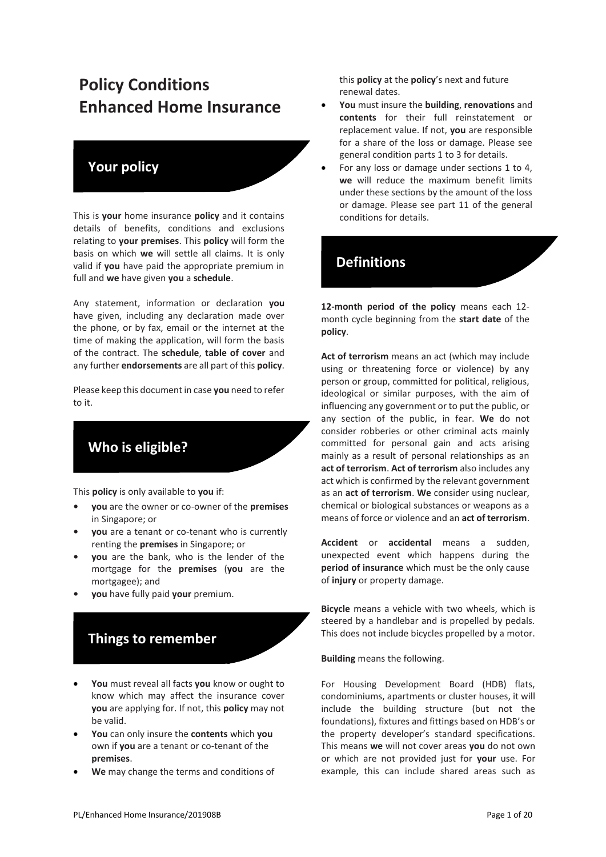# **Policy Conditions Enhanced Home Insurance**

## **Your policy**

This is **your** home insurance **policy** and it contains details of benefits, conditions and exclusions relating to **your premises**. This **policy** will form the basis on which **we** will settle all claims. It is only valid if **you** have paid the appropriate premium in full and **we** have given **you** a **schedule**.

Any statement, information or declaration **you**  have given, including any declaration made over the phone, or by fax, email or the internet at the time of making the application, will form the basis of the contract. The **schedule**, **table of cover** and any further **endorsements** are all part of this **policy**.

Please keep this document in case **you** need to refer to it.

# **Who is eligible?**

This **policy** is only available to **you** if:

- **• you** are the owner or co-owner of the **premises**  in Singapore; or
- **• you** are a tenant or co-tenant who is currently renting the **premises** in Singapore; or
- **• you** are the bank, who is the lender of the mortgage for the **premises** (**you** are the mortgagee); and
- **• you** have fully paid **your** premium.

# **Things to remember**

- **You** must reveal all facts **you** know or ought to know which may affect the insurance cover **you** are applying for. If not, this **policy** may not be valid.
- **You** can only insure the **contents** which **you**  own if **you** are a tenant or co-tenant of the **premises**.
- **We** may change the terms and conditions of

this **policy** at the **policy**'s next and future renewal dates.

- **You** must insure the **building**, **renovations** and **contents** for their full reinstatement or replacement value. If not, **you** are responsible for a share of the loss or damage. Please see general condition parts 1 to 3 for details.
- For any loss or damage under sections 1 to 4, **we** will reduce the maximum benefit limits under these sections by the amount of the loss or damage. Please see part 11 of the general conditions for details.

#### **Definitions**

**12-month period of the policy** means each 12 month cycle beginning from the **start date** of the **policy**.

**Act of terrorism** means an act (which may include using or threatening force or violence) by any person or group, committed for political, religious, ideological or similar purposes, with the aim of influencing any government or to put the public, or any section of the public, in fear. **We** do not consider robberies or other criminal acts mainly committed for personal gain and acts arising mainly as a result of personal relationships as an **act of terrorism**. **Act of terrorism** also includes any act which is confirmed by the relevant government as an **act of terrorism**. **We** consider using nuclear, chemical or biological substances or weapons as a means of force or violence and an **act of terrorism**.

**Accident** or **accidental** means a sudden, unexpected event which happens during the **period of insurance** which must be the only cause of **injury** or property damage.

**Bicycle** means a vehicle with two wheels, which is steered by a handlebar and is propelled by pedals. This does not include bicycles propelled by a motor.

**Building** means the following.

For Housing Development Board (HDB) flats, condominiums, apartments or cluster houses, it will include the building structure (but not the foundations), fixtures and fittings based on HDB's or the property developer's standard specifications. This means **we** will not cover areas **you** do not own or which are not provided just for **your** use. For example, this can include shared areas such as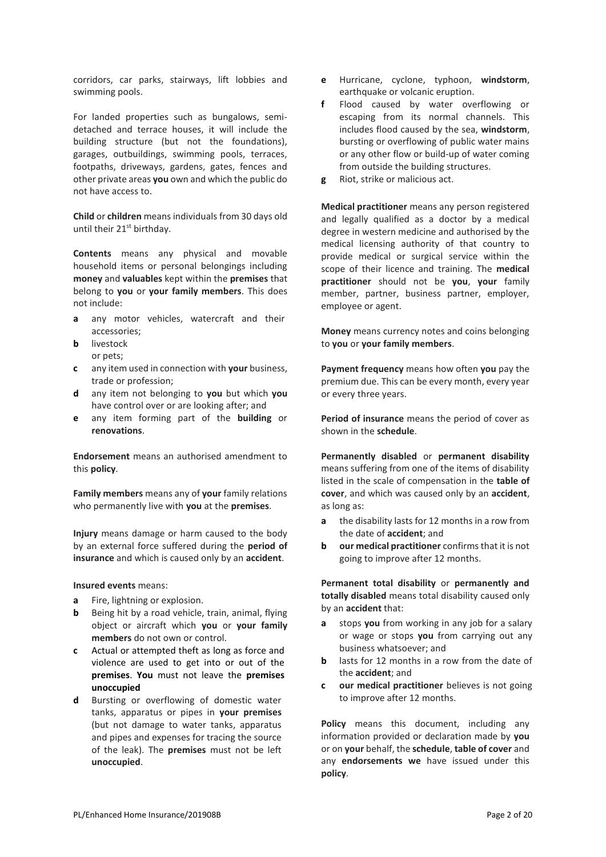corridors, car parks, stairways, lift lobbies and swimming pools.

For landed properties such as bungalows, semidetached and terrace houses, it will include the building structure (but not the foundations), garages, outbuildings, swimming pools, terraces, footpaths, driveways, gardens, gates, fences and other private areas **you** own and which the public do not have access to.

**Child** or **children** means individuals from 30 days old until their 21<sup>st</sup> birthday.

**Contents** means any physical and movable household items or personal belongings including **money** and **valuables** kept within the **premises** that belong to **you** or **your family members**. This does not include:

- **a** any motor vehicles, watercraft and their accessories;
- **b** livestock or pets;
- **c** any item used in connection with **your** business, trade or profession;
- **d** any item not belonging to **you** but which **you**  have control over or are looking after; and
- **e** any item forming part of the **building** or **renovations**.

**Endorsement** means an authorised amendment to this **policy**.

**Family members** means any of **your** family relations who permanently live with **you** at the **premises**.

**Injury** means damage or harm caused to the body by an external force suffered during the **period of insurance** and which is caused only by an **accident**.

**Insured events** means:

- **a** Fire, lightning or explosion.
- **b** Being hit by a road vehicle, train, animal, flying object or aircraft which **you** or **your family members** do not own or control.
- **c** Actual or attempted theft as long as force and violence are used to get into or out of the **premises**. **You** must not leave the **premises unoccupied**
- **d** Bursting or overflowing of domestic water tanks, apparatus or pipes in **your premises**  (but not damage to water tanks, apparatus and pipes and expenses for tracing the source of the leak). The **premises** must not be left **unoccupied**.
- **e** Hurricane, cyclone, typhoon, **windstorm**, earthquake or volcanic eruption.
- **f** Flood caused by water overflowing or escaping from its normal channels. This includes flood caused by the sea, **windstorm**, bursting or overflowing of public water mains or any other flow or build-up of water coming from outside the building structures.
- **g** Riot, strike or malicious act.

**Medical practitioner** means any person registered and legally qualified as a doctor by a medical degree in western medicine and authorised by the medical licensing authority of that country to provide medical or surgical service within the scope of their licence and training. The **medical practitioner** should not be **you**, **your** family member, partner, business partner, employer, employee or agent.

**Money** means currency notes and coins belonging to **you** or **your family members**.

**Payment frequency** means how often **you** pay the premium due. This can be every month, every year or every three years.

**Period of insurance** means the period of cover as shown in the **schedule**.

**Permanently disabled** or **permanent disability**  means suffering from one of the items of disability listed in the scale of compensation in the **table of cover**, and which was caused only by an **accident**, as long as:

- **a** the disability lasts for 12 months in a row from the date of **accident**; and
- **b our medical practitioner** confirms that it is not going to improve after 12 months.

**Permanent total disability** or **permanently and totally disabled** means total disability caused only by an **accident** that:

- **a** stops **you** from working in any job for a salary or wage or stops **you** from carrying out any business whatsoever; and
- **b** lasts for 12 months in a row from the date of the **accident**; and
- **c our medical practitioner** believes is not going to improve after 12 months.

**Policy** means this document, including any information provided or declaration made by **you**  or on **your** behalf, the **schedule**, **table of cover** and any **endorsements we** have issued under this **policy**.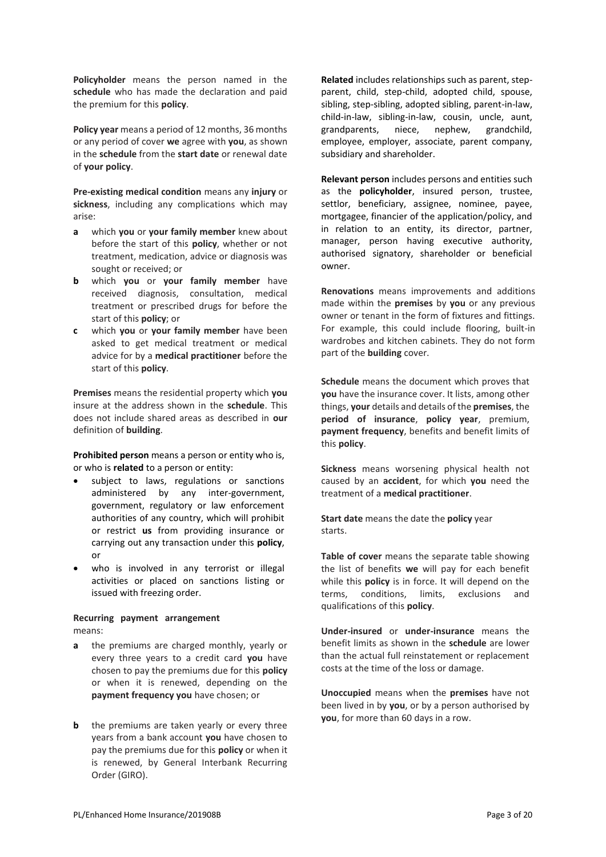**Policyholder** means the person named in the **schedule** who has made the declaration and paid the premium for this **policy**.

**Policy year** means a period of 12 months, 36 months or any period of cover **we** agree with **you**, as shown in the **schedule** from the **start date** or renewal date of **your policy**.

**Pre-existing medical condition** means any **injury** or **sickness**, including any complications which may arise:

- **a** which **you** or **your family member** knew about before the start of this **policy**, whether or not treatment, medication, advice or diagnosis was sought or received; or
- **b** which **you** or **your family member** have received diagnosis, consultation, medical treatment or prescribed drugs for before the start of this **policy**; or
- **c** which **you** or **your family member** have been asked to get medical treatment or medical advice for by a **medical practitioner** before the start of this **policy**.

**Premises** means the residential property which **you**  insure at the address shown in the **schedule**. This does not include shared areas as described in **our**  definition of **building**.

**Prohibited person** means a person or entity who is, or who is **related** to a person or entity:

- subject to laws, regulations or sanctions administered by any inter-government, government, regulatory or law enforcement authorities of any country, which will prohibit or restrict **us** from providing insurance or carrying out any transaction under this **policy**, or
- who is involved in any terrorist or illegal activities or placed on sanctions listing or issued with freezing order.

#### **Recurring payment arrangement**  means:

- **a** the premiums are charged monthly, yearly or every three years to a credit card **you** have chosen to pay the premiums due for this **policy**  or when it is renewed, depending on the **payment frequency you** have chosen; or
- **b** the premiums are taken yearly or every three years from a bank account **you** have chosen to pay the premiums due for this **policy** or when it is renewed, by General Interbank Recurring Order (GIRO).

**Related** includes relationships such as parent, stepparent, child, step-child, adopted child, spouse, sibling, step-sibling, adopted sibling, parent-in-law, child-in-law, sibling-in-law, cousin, uncle, aunt,<br>grandparents, niece, nephew, grandchild, grandparents, niece, nephew, grandchild, employee, employer, associate, parent company, subsidiary and shareholder.

**Relevant person** includes persons and entities such as the **policyholder**, insured person, trustee, settlor, beneficiary, assignee, nominee, payee, mortgagee, financier of the application/policy, and in relation to an entity, its director, partner, manager, person having executive authority, authorised signatory, shareholder or beneficial owner.

**Renovations** means improvements and additions made within the **premises** by **you** or any previous owner or tenant in the form of fixtures and fittings. For example, this could include flooring, built-in wardrobes and kitchen cabinets. They do not form part of the **building** cover.

**Schedule** means the document which proves that **you** have the insurance cover. It lists, among other things, **your** details and details of the **premises**, the **period of insurance**, **policy year**, premium, **payment frequency**, benefits and benefit limits of this **policy**.

**Sickness** means worsening physical health not caused by an **accident**, for which **you** need the treatment of a **medical practitioner**.

**Start date** means the date the **policy** year starts.

**Table of cover** means the separate table showing the list of benefits **we** will pay for each benefit while this **policy** is in force. It will depend on the terms, conditions, limits, exclusions and qualifications of this **policy**.

**Under-insured** or **under-insurance** means the benefit limits as shown in the **schedule** are lower than the actual full reinstatement or replacement costs at the time of the loss or damage.

**Unoccupied** means when the **premises** have not been lived in by **you**, or by a person authorised by **you**, for more than 60 days in a row.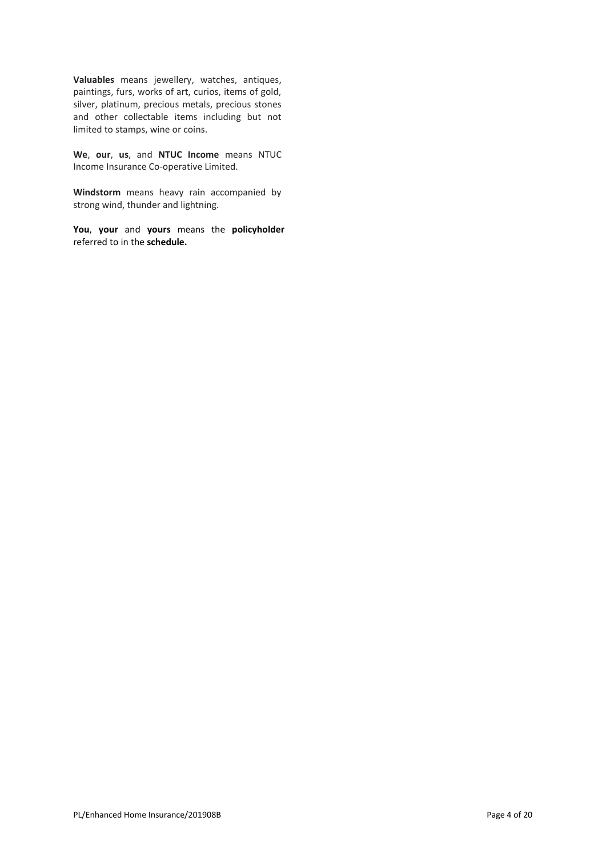**Valuables** means jewellery, watches, antiques, paintings, furs, works of art, curios, items of gold, silver, platinum, precious metals, precious stones and other collectable items including but not limited to stamps, wine or coins.

**We**, **our**, **us**, and **NTUC Income** means NTUC Income Insurance Co-operative Limited.

**Windstorm** means heavy rain accompanied by strong wind, thunder and lightning.

**You**, **your** and **yours** means the **policyholder**  referred to in the **schedule.**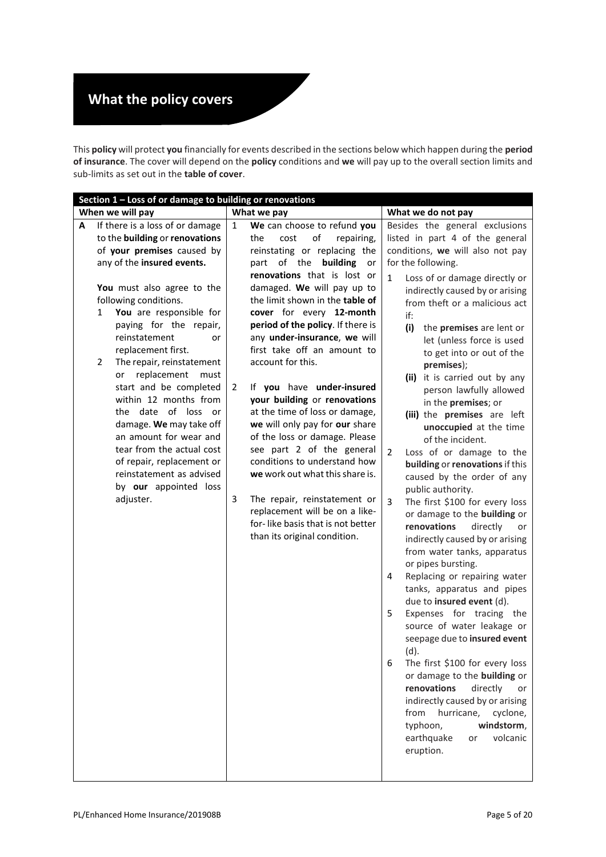# **What the policy covers**

This **policy** will protect **you** financially for events described in the sections below which happen during the **period of insurance**. The cover will depend on the **policy** conditions and **we** will pay up to the overall section limits and sub-limits as set out in the **table of cover**.

|   | Section 1 - Loss of or damage to building or renovations |   |                                                                 |                                                                       |  |  |  |  |
|---|----------------------------------------------------------|---|-----------------------------------------------------------------|-----------------------------------------------------------------------|--|--|--|--|
|   | When we will pay                                         |   | What we pay                                                     | What we do not pay                                                    |  |  |  |  |
| А | If there is a loss of or damage                          | 1 | We can choose to refund you                                     | Besides the general exclusions                                        |  |  |  |  |
|   | to the building or renovations                           |   | of<br>repairing,<br>the<br>cost                                 | listed in part 4 of the general                                       |  |  |  |  |
|   | of your premises caused by                               |   | reinstating or replacing the                                    | conditions, we will also not pay                                      |  |  |  |  |
|   | any of the insured events.                               |   | of the building<br>part<br>or                                   | for the following.                                                    |  |  |  |  |
|   |                                                          |   | renovations that is lost or                                     | $\mathbf{1}$<br>Loss of or damage directly or                         |  |  |  |  |
|   | You must also agree to the                               |   | damaged. We will pay up to                                      | indirectly caused by or arising                                       |  |  |  |  |
|   | following conditions.                                    |   | the limit shown in the table of                                 | from theft or a malicious act                                         |  |  |  |  |
|   | You are responsible for<br>$\mathbf{1}$                  |   | cover for every 12-month                                        | if:                                                                   |  |  |  |  |
|   | paying for the repair,                                   |   | period of the policy. If there is                               | (i)<br>the premises are lent or                                       |  |  |  |  |
|   | reinstatement<br>or                                      |   | any under-insurance, we will                                    | let (unless force is used                                             |  |  |  |  |
|   | replacement first.                                       |   | first take off an amount to                                     | to get into or out of the                                             |  |  |  |  |
|   | 2<br>The repair, reinstatement                           |   | account for this.                                               | premises);                                                            |  |  |  |  |
|   | replacement<br>must<br>or                                |   |                                                                 | (ii) it is carried out by any                                         |  |  |  |  |
|   | start and be completed                                   | 2 | If you have under-insured                                       | person lawfully allowed                                               |  |  |  |  |
|   | within 12 months from                                    |   | your building or renovations                                    | in the premises; or                                                   |  |  |  |  |
|   | the date of loss<br>or.                                  |   | at the time of loss or damage,                                  | (iii) the premises are left                                           |  |  |  |  |
|   | damage. We may take off<br>an amount for wear and        |   | we will only pay for our share<br>of the loss or damage. Please | unoccupied at the time                                                |  |  |  |  |
|   | tear from the actual cost                                |   | see part 2 of the general                                       | of the incident.                                                      |  |  |  |  |
|   | of repair, replacement or                                |   | conditions to understand how                                    | $\overline{2}$<br>Loss of or damage to the                            |  |  |  |  |
|   | reinstatement as advised                                 |   | we work out what this share is.                                 | building or renovations if this                                       |  |  |  |  |
|   | by our appointed loss                                    |   |                                                                 | caused by the order of any                                            |  |  |  |  |
|   | adjuster.                                                | 3 | The repair, reinstatement or                                    | public authority.<br>$\overline{3}$<br>The first \$100 for every loss |  |  |  |  |
|   |                                                          |   | replacement will be on a like-                                  | or damage to the building or                                          |  |  |  |  |
|   |                                                          |   | for-like basis that is not better                               | renovations<br>directly<br>or                                         |  |  |  |  |
|   |                                                          |   | than its original condition.                                    | indirectly caused by or arising                                       |  |  |  |  |
|   |                                                          |   |                                                                 | from water tanks, apparatus                                           |  |  |  |  |
|   |                                                          |   |                                                                 | or pipes bursting.                                                    |  |  |  |  |
|   |                                                          |   |                                                                 | Replacing or repairing water<br>4                                     |  |  |  |  |
|   |                                                          |   |                                                                 | tanks, apparatus and pipes                                            |  |  |  |  |
|   |                                                          |   |                                                                 | due to insured event (d).                                             |  |  |  |  |
|   |                                                          |   |                                                                 | Expenses for tracing the<br>5                                         |  |  |  |  |
|   |                                                          |   |                                                                 | source of water leakage or                                            |  |  |  |  |
|   |                                                          |   |                                                                 | seepage due to insured event                                          |  |  |  |  |
|   |                                                          |   |                                                                 | (d).                                                                  |  |  |  |  |
|   |                                                          |   |                                                                 | The first \$100 for every loss<br>6                                   |  |  |  |  |
|   |                                                          |   |                                                                 | or damage to the building or                                          |  |  |  |  |
|   |                                                          |   |                                                                 | renovations<br>directly<br>or                                         |  |  |  |  |
|   |                                                          |   |                                                                 | indirectly caused by or arising                                       |  |  |  |  |
|   |                                                          |   |                                                                 | from<br>hurricane,<br>cyclone,                                        |  |  |  |  |
|   |                                                          |   |                                                                 | windstorm,<br>typhoon,                                                |  |  |  |  |
|   |                                                          |   |                                                                 | earthquake<br>volcanic<br>or                                          |  |  |  |  |
|   |                                                          |   |                                                                 | eruption.                                                             |  |  |  |  |
|   |                                                          |   |                                                                 |                                                                       |  |  |  |  |
|   |                                                          |   |                                                                 |                                                                       |  |  |  |  |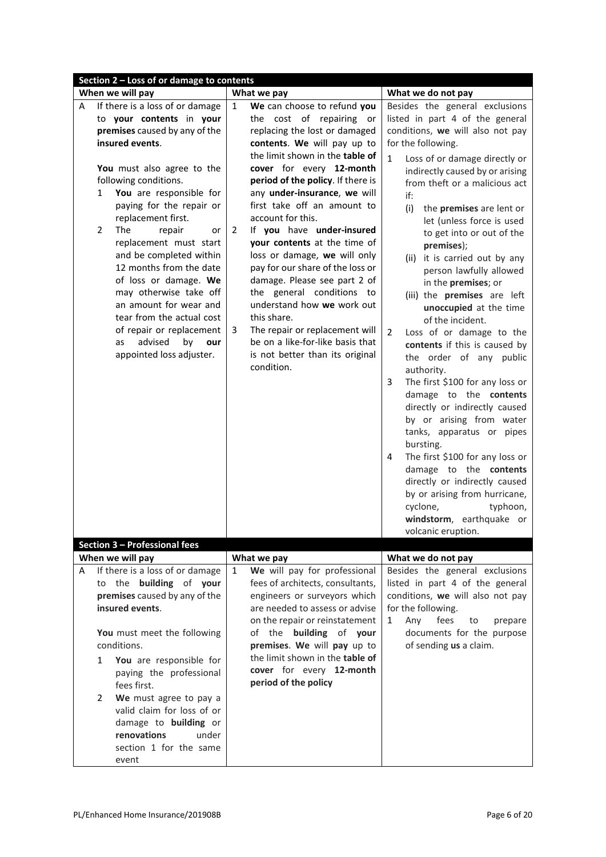| Section 2 - Loss of or damage to contents                                                                                                                                                                                                                                                                                                                                                                                                                                                                                                                                                                |                                                                                                                                                                                                                                                                                                                                                                                                                                                                                                                                                                                                                                                                                                                 |                                                                                                                                                                                                                                                                                                                                                                                                                                                                                                                                                                                                                                                                                                                                                                                                                                                                                                                                                                                                                                                   |  |  |  |  |
|----------------------------------------------------------------------------------------------------------------------------------------------------------------------------------------------------------------------------------------------------------------------------------------------------------------------------------------------------------------------------------------------------------------------------------------------------------------------------------------------------------------------------------------------------------------------------------------------------------|-----------------------------------------------------------------------------------------------------------------------------------------------------------------------------------------------------------------------------------------------------------------------------------------------------------------------------------------------------------------------------------------------------------------------------------------------------------------------------------------------------------------------------------------------------------------------------------------------------------------------------------------------------------------------------------------------------------------|---------------------------------------------------------------------------------------------------------------------------------------------------------------------------------------------------------------------------------------------------------------------------------------------------------------------------------------------------------------------------------------------------------------------------------------------------------------------------------------------------------------------------------------------------------------------------------------------------------------------------------------------------------------------------------------------------------------------------------------------------------------------------------------------------------------------------------------------------------------------------------------------------------------------------------------------------------------------------------------------------------------------------------------------------|--|--|--|--|
|                                                                                                                                                                                                                                                                                                                                                                                                                                                                                                                                                                                                          |                                                                                                                                                                                                                                                                                                                                                                                                                                                                                                                                                                                                                                                                                                                 | What we do not pay                                                                                                                                                                                                                                                                                                                                                                                                                                                                                                                                                                                                                                                                                                                                                                                                                                                                                                                                                                                                                                |  |  |  |  |
| When we will pay<br>If there is a loss of or damage<br>A<br>to your contents in your<br>premises caused by any of the<br>insured events.<br>You must also agree to the<br>following conditions.<br>You are responsible for<br>$\mathbf{1}$<br>paying for the repair or<br>replacement first.<br>The<br>2<br>repair<br>or<br>replacement must start<br>and be completed within<br>12 months from the date<br>of loss or damage. We<br>may otherwise take off<br>an amount for wear and<br>tear from the actual cost<br>of repair or replacement<br>advised<br>by<br>as<br>our<br>appointed loss adjuster. | What we pay<br>We can choose to refund you<br>1<br>the cost of repairing or<br>replacing the lost or damaged<br>contents. We will pay up to<br>the limit shown in the table of<br>cover for every 12-month<br>period of the policy. If there is<br>any under-insurance, we will<br>first take off an amount to<br>account for this.<br>If you have under-insured<br>2<br>your contents at the time of<br>loss or damage, we will only<br>pay for our share of the loss or<br>damage. Please see part 2 of<br>the general conditions to<br>understand how we work out<br>this share.<br>The repair or replacement will<br>3<br>be on a like-for-like basis that<br>is not better than its original<br>condition. | Besides the general exclusions<br>listed in part 4 of the general<br>conditions, we will also not pay<br>for the following.<br>$\mathbf{1}$<br>Loss of or damage directly or<br>indirectly caused by or arising<br>from theft or a malicious act<br>if:<br>(i)<br>the premises are lent or<br>let (unless force is used<br>to get into or out of the<br>premises);<br>(ii) it is carried out by any<br>person lawfully allowed<br>in the premises; or<br>(iii) the premises are left<br>unoccupied at the time<br>of the incident.<br>$\overline{2}$<br>Loss of or damage to the<br>contents if this is caused by<br>the order of any public<br>authority.<br>The first \$100 for any loss or<br>3<br>damage to the contents<br>directly or indirectly caused<br>by or arising from water<br>tanks, apparatus or pipes<br>bursting.<br>The first \$100 for any loss or<br>4<br>damage to the contents<br>directly or indirectly caused<br>by or arising from hurricane,<br>cyclone,<br>typhoon,<br>windstorm, earthquake or<br>volcanic eruption. |  |  |  |  |
| Section 3 - Professional fees                                                                                                                                                                                                                                                                                                                                                                                                                                                                                                                                                                            |                                                                                                                                                                                                                                                                                                                                                                                                                                                                                                                                                                                                                                                                                                                 |                                                                                                                                                                                                                                                                                                                                                                                                                                                                                                                                                                                                                                                                                                                                                                                                                                                                                                                                                                                                                                                   |  |  |  |  |
| When we will pay                                                                                                                                                                                                                                                                                                                                                                                                                                                                                                                                                                                         | What we pay                                                                                                                                                                                                                                                                                                                                                                                                                                                                                                                                                                                                                                                                                                     | What we do not pay                                                                                                                                                                                                                                                                                                                                                                                                                                                                                                                                                                                                                                                                                                                                                                                                                                                                                                                                                                                                                                |  |  |  |  |
| If there is a loss of or damage<br>A<br>to the building of your<br>premises caused by any of the<br>insured events.<br>You must meet the following<br>conditions.<br>You are responsible for<br>1<br>paying the professional<br>fees first.<br>We must agree to pay a<br>2<br>valid claim for loss of or<br>damage to <b>building</b> or<br>renovations<br>under<br>section 1 for the same<br>event                                                                                                                                                                                                      | We will pay for professional<br>$\mathbf{1}$<br>fees of architects, consultants,<br>engineers or surveyors which<br>are needed to assess or advise<br>on the repair or reinstatement<br>of the building of your<br>premises. We will pay up to<br>the limit shown in the table of<br>cover for every 12-month<br>period of the policy                                                                                                                                                                                                                                                                                                                                                                           | Besides the general exclusions<br>listed in part 4 of the general<br>conditions, we will also not pay<br>for the following.<br>fees<br>Any<br>1<br>to<br>prepare<br>documents for the purpose<br>of sending us a claim.                                                                                                                                                                                                                                                                                                                                                                                                                                                                                                                                                                                                                                                                                                                                                                                                                           |  |  |  |  |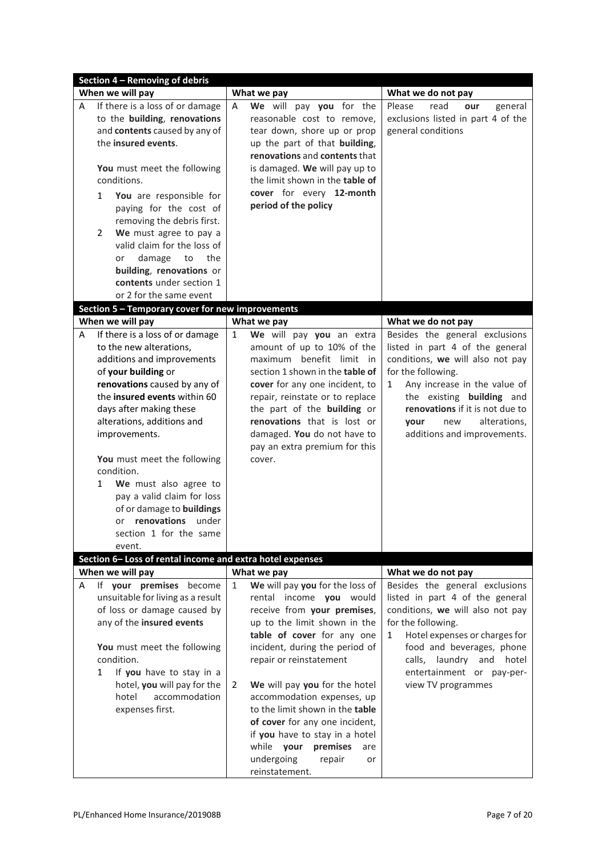|   | Section 4 - Removing of debris                                                                                                                                                                                                                                                                                                                                                                                                                                 |              |                                                                                                                                                                                                                                                                                                                                    |                                                                                                                                                                                                                                                                                                           |  |  |  |
|---|----------------------------------------------------------------------------------------------------------------------------------------------------------------------------------------------------------------------------------------------------------------------------------------------------------------------------------------------------------------------------------------------------------------------------------------------------------------|--------------|------------------------------------------------------------------------------------------------------------------------------------------------------------------------------------------------------------------------------------------------------------------------------------------------------------------------------------|-----------------------------------------------------------------------------------------------------------------------------------------------------------------------------------------------------------------------------------------------------------------------------------------------------------|--|--|--|
|   | When we will pay                                                                                                                                                                                                                                                                                                                                                                                                                                               |              | What we pay                                                                                                                                                                                                                                                                                                                        | What we do not pay                                                                                                                                                                                                                                                                                        |  |  |  |
| A | If there is a loss of or damage<br>to the building, renovations<br>and contents caused by any of<br>the insured events.<br>You must meet the following<br>conditions.<br>$\mathbf{1}$<br>You are responsible for<br>paying for the cost of<br>removing the debris first.<br>We must agree to pay a<br>2<br>valid claim for the loss of<br>the<br>damage<br>to<br>or<br>building, renovations or<br>contents under section 1<br>or 2 for the same event         | Α            | We will pay you for the<br>reasonable cost to remove,<br>tear down, shore up or prop<br>up the part of that building,<br>renovations and contents that<br>is damaged. We will pay up to<br>the limit shown in the table of<br>cover for every 12-month<br>period of the policy                                                     | Please<br>read<br>general<br>our<br>exclusions listed in part 4 of the<br>general conditions                                                                                                                                                                                                              |  |  |  |
|   | Section 5 - Temporary cover for new improvements                                                                                                                                                                                                                                                                                                                                                                                                               |              |                                                                                                                                                                                                                                                                                                                                    |                                                                                                                                                                                                                                                                                                           |  |  |  |
|   | When we will pay                                                                                                                                                                                                                                                                                                                                                                                                                                               |              | What we pay                                                                                                                                                                                                                                                                                                                        | What we do not pay                                                                                                                                                                                                                                                                                        |  |  |  |
| A | If there is a loss of or damage<br>to the new alterations,<br>additions and improvements<br>of your building or<br>renovations caused by any of<br>the insured events within 60<br>days after making these<br>alterations, additions and<br>improvements.<br>You must meet the following<br>condition.<br>We must also agree to<br>1<br>pay a valid claim for loss<br>of or damage to buildings<br>renovations under<br>or<br>section 1 for the same<br>event. | $\mathbf{1}$ | We will pay you an extra<br>amount of up to 10% of the<br>maximum benefit limit in<br>section 1 shown in the table of<br>cover for any one incident, to<br>repair, reinstate or to replace<br>the part of the building or<br>renovations that is lost or<br>damaged. You do not have to<br>pay an extra premium for this<br>cover. | Besides the general exclusions<br>listed in part 4 of the general<br>conditions, we will also not pay<br>for the following.<br>Any increase in the value of<br>$\mathbf{1}$<br>the existing building and<br>renovations if it is not due to<br>alterations,<br>vour<br>new<br>additions and improvements. |  |  |  |
|   | Section 6-Loss of rental income and extra hotel expenses                                                                                                                                                                                                                                                                                                                                                                                                       |              |                                                                                                                                                                                                                                                                                                                                    |                                                                                                                                                                                                                                                                                                           |  |  |  |
|   | When we will pay                                                                                                                                                                                                                                                                                                                                                                                                                                               |              | What we pay                                                                                                                                                                                                                                                                                                                        | What we do not pay                                                                                                                                                                                                                                                                                        |  |  |  |
| A | If your premises<br>become<br>unsuitable for living as a result<br>of loss or damage caused by<br>any of the insured events<br>You must meet the following<br>condition.<br>If you have to stay in a<br>$\mathbf{1}$                                                                                                                                                                                                                                           | $\mathbf{1}$ | We will pay you for the loss of<br>rental income you would<br>receive from your premises,<br>up to the limit shown in the<br>table of cover for any one<br>incident, during the period of<br>repair or reinstatement                                                                                                               | Besides the general exclusions<br>listed in part 4 of the general<br>conditions, we will also not pay<br>for the following.<br>Hotel expenses or charges for<br>$\mathbf{1}$<br>food and beverages, phone<br>calls, laundry and hotel<br>entertainment or pay-per-                                        |  |  |  |
|   | hotel, you will pay for the<br>accommodation<br>hotel<br>expenses first.                                                                                                                                                                                                                                                                                                                                                                                       | 2            | We will pay you for the hotel<br>accommodation expenses, up<br>to the limit shown in the table<br>of cover for any one incident,<br>if you have to stay in a hotel<br>while your<br>premises<br>are<br>undergoing<br>repair<br>or<br>reinstatement.                                                                                | view TV programmes                                                                                                                                                                                                                                                                                        |  |  |  |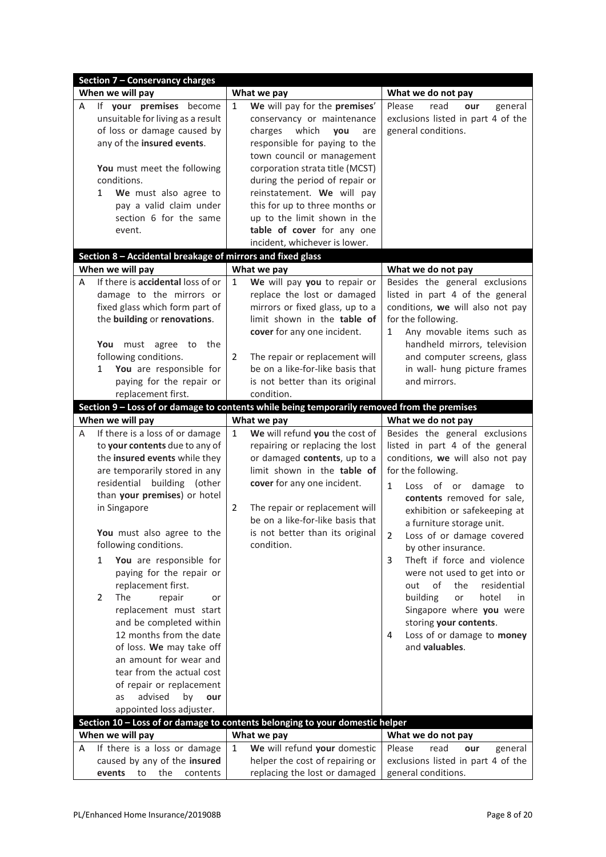| <b>Section 7 - Conservancy charges</b>                                                                                                                                                                                                                                                                                                                                                                                                                                                                                                                                                                                                                                                 |                                                                                                                                                                                                                                                                                                                                                                                                                         |                                                                                                                                                                                                                                                                                                                                                                                                                                                                                                                                                                                                     |  |  |  |
|----------------------------------------------------------------------------------------------------------------------------------------------------------------------------------------------------------------------------------------------------------------------------------------------------------------------------------------------------------------------------------------------------------------------------------------------------------------------------------------------------------------------------------------------------------------------------------------------------------------------------------------------------------------------------------------|-------------------------------------------------------------------------------------------------------------------------------------------------------------------------------------------------------------------------------------------------------------------------------------------------------------------------------------------------------------------------------------------------------------------------|-----------------------------------------------------------------------------------------------------------------------------------------------------------------------------------------------------------------------------------------------------------------------------------------------------------------------------------------------------------------------------------------------------------------------------------------------------------------------------------------------------------------------------------------------------------------------------------------------------|--|--|--|
| When we will pay                                                                                                                                                                                                                                                                                                                                                                                                                                                                                                                                                                                                                                                                       | What we pay                                                                                                                                                                                                                                                                                                                                                                                                             | What we do not pay                                                                                                                                                                                                                                                                                                                                                                                                                                                                                                                                                                                  |  |  |  |
| If your premises<br>become<br>A<br>unsuitable for living as a result<br>of loss or damage caused by<br>any of the insured events.<br>You must meet the following<br>conditions.<br>We must also agree to<br>$\mathbf{1}$<br>pay a valid claim under<br>section 6 for the same<br>event.                                                                                                                                                                                                                                                                                                                                                                                                | We will pay for the premises'<br>$\mathbf{1}$<br>conservancy or maintenance<br>charges<br>which<br>you<br>are<br>responsible for paying to the<br>town council or management<br>corporation strata title (MCST)<br>during the period of repair or<br>reinstatement. We will pay<br>this for up to three months or<br>up to the limit shown in the<br>table of cover for any one                                         | Please<br>read<br>general<br>our<br>exclusions listed in part 4 of the<br>general conditions.                                                                                                                                                                                                                                                                                                                                                                                                                                                                                                       |  |  |  |
| Section 8 - Accidental breakage of mirrors and fixed glass                                                                                                                                                                                                                                                                                                                                                                                                                                                                                                                                                                                                                             | incident, whichever is lower.                                                                                                                                                                                                                                                                                                                                                                                           |                                                                                                                                                                                                                                                                                                                                                                                                                                                                                                                                                                                                     |  |  |  |
| When we will pay                                                                                                                                                                                                                                                                                                                                                                                                                                                                                                                                                                                                                                                                       | What we pay                                                                                                                                                                                                                                                                                                                                                                                                             | What we do not pay                                                                                                                                                                                                                                                                                                                                                                                                                                                                                                                                                                                  |  |  |  |
| If there is accidental loss of or<br>А<br>damage to the mirrors or<br>fixed glass which form part of<br>the building or renovations.<br>You must agree to<br>the<br>following conditions.<br>You are responsible for<br>1<br>paying for the repair or                                                                                                                                                                                                                                                                                                                                                                                                                                  | We will pay you to repair or<br>$\mathbf{1}$<br>replace the lost or damaged<br>mirrors or fixed glass, up to a<br>limit shown in the table of<br>cover for any one incident.<br>The repair or replacement will<br>2<br>be on a like-for-like basis that<br>is not better than its original                                                                                                                              | Besides the general exclusions<br>listed in part 4 of the general<br>conditions, we will also not pay<br>for the following.<br>Any movable items such as<br>$\mathbf{1}$<br>handheld mirrors, television<br>and computer screens, glass<br>in wall- hung picture frames<br>and mirrors.                                                                                                                                                                                                                                                                                                             |  |  |  |
| replacement first.                                                                                                                                                                                                                                                                                                                                                                                                                                                                                                                                                                                                                                                                     | condition.                                                                                                                                                                                                                                                                                                                                                                                                              |                                                                                                                                                                                                                                                                                                                                                                                                                                                                                                                                                                                                     |  |  |  |
|                                                                                                                                                                                                                                                                                                                                                                                                                                                                                                                                                                                                                                                                                        | Section 9 - Loss of or damage to contents while being temporarily removed from the premises                                                                                                                                                                                                                                                                                                                             |                                                                                                                                                                                                                                                                                                                                                                                                                                                                                                                                                                                                     |  |  |  |
| When we will pay<br>If there is a loss of or damage<br>A<br>to your contents due to any of<br>the insured events while they<br>are temporarily stored in any<br>residential building (other<br>than your premises) or hotel<br>in Singapore<br>You must also agree to the<br>following conditions.<br>You are responsible for<br>1<br>paying for the repair or<br>replacement first.<br>$\overline{2}$<br>The<br>repair<br>or<br>replacement must start<br>and be completed within<br>12 months from the date<br>of loss. We may take off<br>an amount for wear and<br>tear from the actual cost<br>of repair or replacement<br>advised<br>by<br>our<br>as<br>appointed loss adjuster. | What we pay<br>We will refund you the cost of<br>$\mathbf{1}$<br>repairing or replacing the lost<br>or damaged contents, up to a<br>limit shown in the table of<br>cover for any one incident.<br>$\overline{2}$<br>The repair or replacement will<br>be on a like-for-like basis that<br>is not better than its original<br>condition.<br>Section 10 - Loss of or damage to contents belonging to your domestic helper | What we do not pay<br>Besides the general exclusions<br>listed in part 4 of the general<br>conditions, we will also not pay<br>for the following.<br>$\mathbf{1}$<br>Loss of or damage<br>to<br>contents removed for sale,<br>exhibition or safekeeping at<br>a furniture storage unit.<br>2<br>Loss of or damage covered<br>by other insurance.<br>Theft if force and violence<br>3<br>were not used to get into or<br>of<br>residential<br>out<br>the<br>building<br>hotel<br>or<br>in<br>Singapore where you were<br>storing your contents.<br>Loss of or damage to money<br>4<br>and valuables. |  |  |  |
| When we will pay                                                                                                                                                                                                                                                                                                                                                                                                                                                                                                                                                                                                                                                                       | What we pay                                                                                                                                                                                                                                                                                                                                                                                                             | What we do not pay                                                                                                                                                                                                                                                                                                                                                                                                                                                                                                                                                                                  |  |  |  |
| If there is a loss or damage<br>A<br>caused by any of the insured<br>events<br>to<br>the<br>contents                                                                                                                                                                                                                                                                                                                                                                                                                                                                                                                                                                                   | We will refund your domestic<br>1<br>helper the cost of repairing or<br>replacing the lost or damaged                                                                                                                                                                                                                                                                                                                   | Please<br>read<br>our<br>general<br>exclusions listed in part 4 of the<br>general conditions.                                                                                                                                                                                                                                                                                                                                                                                                                                                                                                       |  |  |  |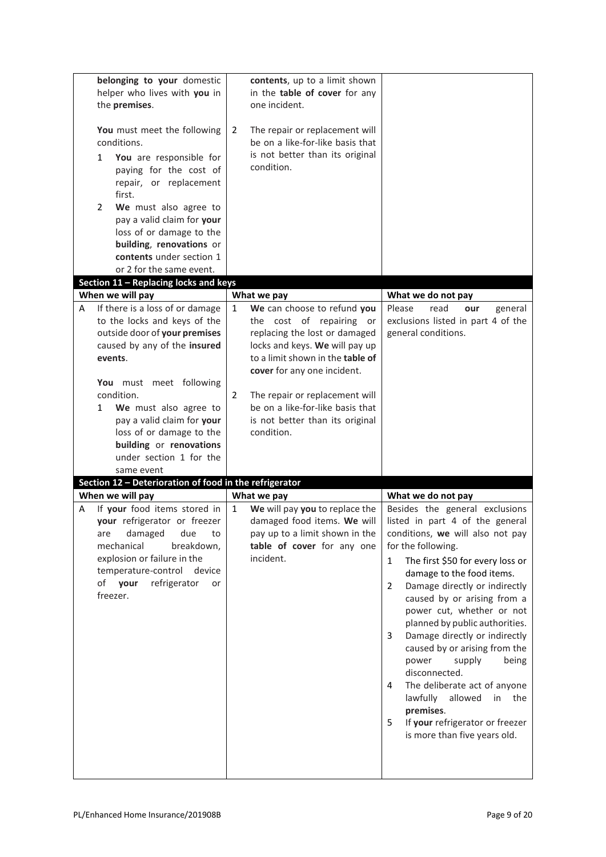| belonging to your domestic<br>helper who lives with you in<br>the premises.<br>You must meet the following<br>conditions.<br>You are responsible for<br>$\mathbf{1}$<br>paying for the cost of<br>repair, or replacement<br>first.<br>We must also agree to<br>2<br>pay a valid claim for your<br>loss of or damage to the<br>building, renovations or<br>contents under section 1<br>or 2 for the same event. | contents, up to a limit shown<br>in the table of cover for any<br>one incident.<br>The repair or replacement will<br>2<br>be on a like-for-like basis that<br>is not better than its original<br>condition. |                                                                                       |
|----------------------------------------------------------------------------------------------------------------------------------------------------------------------------------------------------------------------------------------------------------------------------------------------------------------------------------------------------------------------------------------------------------------|-------------------------------------------------------------------------------------------------------------------------------------------------------------------------------------------------------------|---------------------------------------------------------------------------------------|
| Section $11$ – Replacing locks and keys                                                                                                                                                                                                                                                                                                                                                                        |                                                                                                                                                                                                             |                                                                                       |
| When we will pay<br>If there is a loss of or damage<br>A                                                                                                                                                                                                                                                                                                                                                       | What we pay<br>We can choose to refund you<br>1                                                                                                                                                             | What we do not pay<br>Please<br>read<br>our<br>general                                |
| to the locks and keys of the<br>outside door of your premises<br>caused by any of the insured<br>events.                                                                                                                                                                                                                                                                                                       | the cost of repairing or<br>replacing the lost or damaged<br>locks and keys. We will pay up<br>to a limit shown in the table of<br>cover for any one incident.                                              | exclusions listed in part 4 of the<br>general conditions.                             |
| You must meet following<br>condition.                                                                                                                                                                                                                                                                                                                                                                          | $\overline{2}$<br>The repair or replacement will                                                                                                                                                            |                                                                                       |
| We must also agree to<br>1                                                                                                                                                                                                                                                                                                                                                                                     | be on a like-for-like basis that                                                                                                                                                                            |                                                                                       |
| pay a valid claim for your                                                                                                                                                                                                                                                                                                                                                                                     | is not better than its original                                                                                                                                                                             |                                                                                       |
| loss of or damage to the<br>building or renovations                                                                                                                                                                                                                                                                                                                                                            | condition.                                                                                                                                                                                                  |                                                                                       |
| under section 1 for the                                                                                                                                                                                                                                                                                                                                                                                        |                                                                                                                                                                                                             |                                                                                       |
| same event                                                                                                                                                                                                                                                                                                                                                                                                     |                                                                                                                                                                                                             |                                                                                       |
| Section 12 - Deterioration of food in the refrigerator                                                                                                                                                                                                                                                                                                                                                         |                                                                                                                                                                                                             |                                                                                       |
| When we will pay                                                                                                                                                                                                                                                                                                                                                                                               | What we pay                                                                                                                                                                                                 | What we do not pay                                                                    |
| If your food items stored in<br>A<br>your refrigerator or freezer                                                                                                                                                                                                                                                                                                                                              | $\mathbf{1}$<br>We will pay you to replace the<br>damaged food items. We will                                                                                                                               | Besides the general exclusions<br>listed in part 4 of the general                     |
| damaged<br>due<br>to<br>are                                                                                                                                                                                                                                                                                                                                                                                    | pay up to a limit shown in the                                                                                                                                                                              | conditions, we will also not pay                                                      |
| mechanical<br>breakdown,                                                                                                                                                                                                                                                                                                                                                                                       | table of cover for any one                                                                                                                                                                                  | for the following.                                                                    |
| explosion or failure in the<br>temperature-control<br>device                                                                                                                                                                                                                                                                                                                                                   | incident.                                                                                                                                                                                                   | The first \$50 for every loss or<br>$\mathbf{1}$<br>damage to the food items.         |
| refrigerator<br>of your<br>or<br>freezer.                                                                                                                                                                                                                                                                                                                                                                      |                                                                                                                                                                                                             | Damage directly or indirectly<br>$\mathbf{2}^{\prime}$<br>caused by or arising from a |
|                                                                                                                                                                                                                                                                                                                                                                                                                |                                                                                                                                                                                                             | power cut, whether or not                                                             |
|                                                                                                                                                                                                                                                                                                                                                                                                                |                                                                                                                                                                                                             | planned by public authorities.<br>Damage directly or indirectly<br>3                  |
|                                                                                                                                                                                                                                                                                                                                                                                                                |                                                                                                                                                                                                             | caused by or arising from the<br>power<br>supply<br>being<br>disconnected.            |
|                                                                                                                                                                                                                                                                                                                                                                                                                |                                                                                                                                                                                                             | The deliberate act of anyone<br>4<br>lawfully<br>allowed<br>in<br>the                 |
|                                                                                                                                                                                                                                                                                                                                                                                                                |                                                                                                                                                                                                             | premises.                                                                             |
|                                                                                                                                                                                                                                                                                                                                                                                                                |                                                                                                                                                                                                             | If your refrigerator or freezer<br>5<br>is more than five years old.                  |
|                                                                                                                                                                                                                                                                                                                                                                                                                |                                                                                                                                                                                                             |                                                                                       |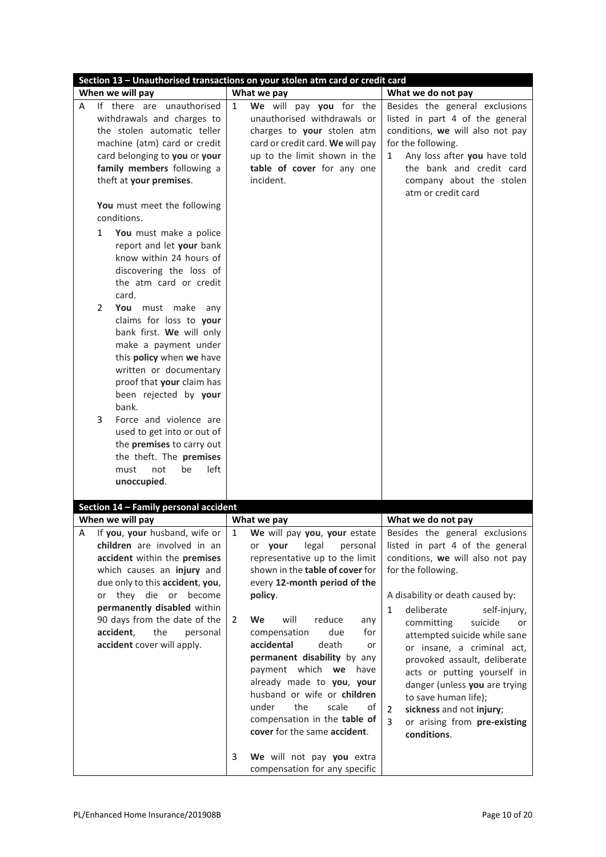| Section 13 - Unauthorised transactions on your stolen atm card or credit card                                                                                                                                                                                                                                                                                                                                                                                                                                                                                                                                                                                                                                                                                                            |                                                                                                                                                                                                                                                                                                                                                                                      |                                                                                                                                                                                                                                                                                                                                                      |  |  |  |  |
|------------------------------------------------------------------------------------------------------------------------------------------------------------------------------------------------------------------------------------------------------------------------------------------------------------------------------------------------------------------------------------------------------------------------------------------------------------------------------------------------------------------------------------------------------------------------------------------------------------------------------------------------------------------------------------------------------------------------------------------------------------------------------------------|--------------------------------------------------------------------------------------------------------------------------------------------------------------------------------------------------------------------------------------------------------------------------------------------------------------------------------------------------------------------------------------|------------------------------------------------------------------------------------------------------------------------------------------------------------------------------------------------------------------------------------------------------------------------------------------------------------------------------------------------------|--|--|--|--|
| When we will pay                                                                                                                                                                                                                                                                                                                                                                                                                                                                                                                                                                                                                                                                                                                                                                         | What we pay                                                                                                                                                                                                                                                                                                                                                                          | What we do not pay                                                                                                                                                                                                                                                                                                                                   |  |  |  |  |
| If there are unauthorised<br>A<br>withdrawals and charges to<br>the stolen automatic teller<br>machine (atm) card or credit<br>card belonging to you or your<br>family members following a<br>theft at your premises.<br>You must meet the following<br>conditions.<br>$\mathbf{1}$<br>You must make a police<br>report and let your bank<br>know within 24 hours of<br>discovering the loss of<br>the atm card or credit<br>card.<br>2<br>You must make<br>any<br>claims for loss to your<br>bank first. We will only<br>make a payment under<br>this policy when we have<br>written or documentary<br>proof that your claim has<br>been rejected by your<br>bank.<br>3<br>Force and violence are<br>used to get into or out of<br>the premises to carry out<br>the theft. The premises | We will pay you for the<br>1<br>unauthorised withdrawals or<br>charges to your stolen atm<br>card or credit card. We will pay<br>up to the limit shown in the<br>table of cover for any one<br>incident.                                                                                                                                                                             | Besides the general exclusions<br>listed in part 4 of the general<br>conditions, we will also not pay<br>for the following.<br>Any loss after you have told<br>1<br>the bank and credit card<br>company about the stolen<br>atm or credit card                                                                                                       |  |  |  |  |
| left<br>must<br>not<br>be<br>unoccupied.                                                                                                                                                                                                                                                                                                                                                                                                                                                                                                                                                                                                                                                                                                                                                 |                                                                                                                                                                                                                                                                                                                                                                                      |                                                                                                                                                                                                                                                                                                                                                      |  |  |  |  |
| Section 14 - Family personal accident                                                                                                                                                                                                                                                                                                                                                                                                                                                                                                                                                                                                                                                                                                                                                    |                                                                                                                                                                                                                                                                                                                                                                                      |                                                                                                                                                                                                                                                                                                                                                      |  |  |  |  |
| When we will pay                                                                                                                                                                                                                                                                                                                                                                                                                                                                                                                                                                                                                                                                                                                                                                         | What we pay                                                                                                                                                                                                                                                                                                                                                                          | What we do not pay                                                                                                                                                                                                                                                                                                                                   |  |  |  |  |
|                                                                                                                                                                                                                                                                                                                                                                                                                                                                                                                                                                                                                                                                                                                                                                                          | 1                                                                                                                                                                                                                                                                                                                                                                                    |                                                                                                                                                                                                                                                                                                                                                      |  |  |  |  |
| A<br>If you, your husband, wife or<br>children are involved in an<br>accident within the premises<br>which causes an injury and<br>due only to this accident, you,<br>they die or become<br>or                                                                                                                                                                                                                                                                                                                                                                                                                                                                                                                                                                                           | We will pay you, your estate<br>legal<br>or vour<br>personal<br>representative up to the limit<br>shown in the table of cover for<br>every 12-month period of the<br>policy.                                                                                                                                                                                                         | Besides the general exclusions<br>listed in part 4 of the general<br>conditions, we will also not pay<br>for the following.<br>A disability or death caused by:                                                                                                                                                                                      |  |  |  |  |
| permanently disabled within<br>90 days from the date of the<br>accident,<br>the<br>personal<br>accident cover will apply.                                                                                                                                                                                                                                                                                                                                                                                                                                                                                                                                                                                                                                                                | will<br>2<br>We<br>reduce<br>any<br>due<br>compensation<br>for<br>accidental<br>death<br>or<br>permanent disability by any<br>payment which we<br>have<br>already made to you, your<br>husband or wife or children<br>under<br>the<br>scale<br>of<br>compensation in the table of<br>cover for the same accident.<br>3<br>We will not pay you extra<br>compensation for any specific | $\mathbf{1}$<br>deliberate<br>self-injury,<br>committing<br>suicide<br>or<br>attempted suicide while sane<br>or insane, a criminal act,<br>provoked assault, deliberate<br>acts or putting yourself in<br>danger (unless you are trying<br>to save human life);<br>sickness and not injury;<br>2<br>3<br>or arising from pre-existing<br>conditions. |  |  |  |  |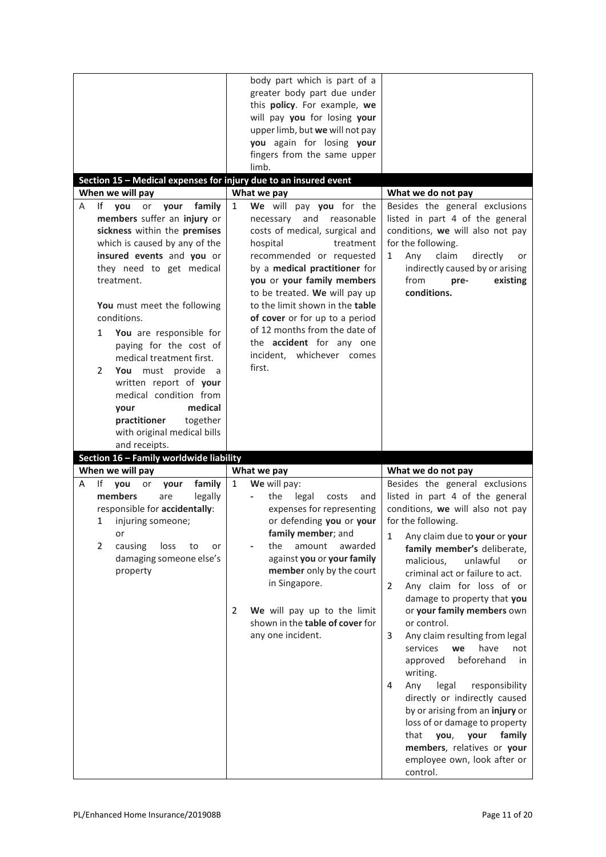| Section 15 - Medical expenses for injury due to an insured event<br>When we will pay                                                                                                                                                                                                                                                                                                                                                                                                                                                       | body part which is part of a<br>greater body part due under<br>this policy. For example, we<br>will pay you for losing your<br>upper limb, but we will not pay<br>you again for losing your<br>fingers from the same upper<br>limb.<br>What we pay                                                                                                                                                                                               |                                                                                                                                                                                                                                                                                                                                                                                                                                                                                                       |  |  |  |
|--------------------------------------------------------------------------------------------------------------------------------------------------------------------------------------------------------------------------------------------------------------------------------------------------------------------------------------------------------------------------------------------------------------------------------------------------------------------------------------------------------------------------------------------|--------------------------------------------------------------------------------------------------------------------------------------------------------------------------------------------------------------------------------------------------------------------------------------------------------------------------------------------------------------------------------------------------------------------------------------------------|-------------------------------------------------------------------------------------------------------------------------------------------------------------------------------------------------------------------------------------------------------------------------------------------------------------------------------------------------------------------------------------------------------------------------------------------------------------------------------------------------------|--|--|--|
|                                                                                                                                                                                                                                                                                                                                                                                                                                                                                                                                            |                                                                                                                                                                                                                                                                                                                                                                                                                                                  | What we do not pay                                                                                                                                                                                                                                                                                                                                                                                                                                                                                    |  |  |  |
| lf<br>family<br>vou<br>or<br>your<br>A<br>members suffer an injury or<br>sickness within the premises<br>which is caused by any of the<br>insured events and you or<br>they need to get medical<br>treatment.<br>You must meet the following<br>conditions.<br>You are responsible for<br>$\mathbf{1}$<br>paying for the cost of<br>medical treatment first.<br>2<br>You must provide a<br>written report of your<br>medical condition from<br>medical<br>your<br>practitioner<br>together<br>with original medical bills<br>and receipts. | We will pay you for the<br>$\mathbf{1}$<br>and<br>necessary<br>reasonable<br>costs of medical, surgical and<br>hospital<br>treatment<br>recommended or requested<br>by a medical practitioner for<br>you or your family members<br>to be treated. We will pay up<br>to the limit shown in the table<br>of cover or for up to a period<br>of 12 months from the date of<br>the <b>accident</b> for any one<br>incident, whichever comes<br>first. | Besides the general exclusions<br>listed in part 4 of the general<br>conditions, we will also not pay<br>for the following.<br>claim<br>directly<br>Any<br>1<br>or<br>indirectly caused by or arising<br>from<br>existing<br>pre-<br>conditions.                                                                                                                                                                                                                                                      |  |  |  |
| Section 16 - Family worldwide liability                                                                                                                                                                                                                                                                                                                                                                                                                                                                                                    |                                                                                                                                                                                                                                                                                                                                                                                                                                                  |                                                                                                                                                                                                                                                                                                                                                                                                                                                                                                       |  |  |  |
| When we will pay                                                                                                                                                                                                                                                                                                                                                                                                                                                                                                                           | What we pay                                                                                                                                                                                                                                                                                                                                                                                                                                      | What we do not pay                                                                                                                                                                                                                                                                                                                                                                                                                                                                                    |  |  |  |
| If<br>family<br>you<br>A<br>or<br>your<br>members<br>legally<br>are<br>responsible for accidentally:<br>$\mathbf{1}$<br>injuring someone;<br>or<br>$\overline{2}$<br>loss<br>causing<br>to<br>or<br>damaging someone else's<br>property                                                                                                                                                                                                                                                                                                    | $\mathbf{1}$<br>We will pay:<br>the<br>legal<br>costs<br>and<br>expenses for representing<br>or defending you or your<br>family member; and<br>the<br>amount<br>awarded<br>against you or your family<br>member only by the court<br>in Singapore.<br>We will pay up to the limit<br>2<br>shown in the table of cover for<br>any one incident.                                                                                                   | Besides the general exclusions<br>listed in part 4 of the general<br>conditions, we will also not pay<br>for the following.<br>1<br>Any claim due to your or your<br>family member's deliberate,<br>malicious,<br>unlawful<br>or<br>criminal act or failure to act.<br>Any claim for loss of or<br>$\overline{2}$<br>damage to property that you<br>or your family members own<br>or control.<br>Any claim resulting from legal<br>3<br>services<br>have<br>we<br>not<br>approved<br>beforehand<br>in |  |  |  |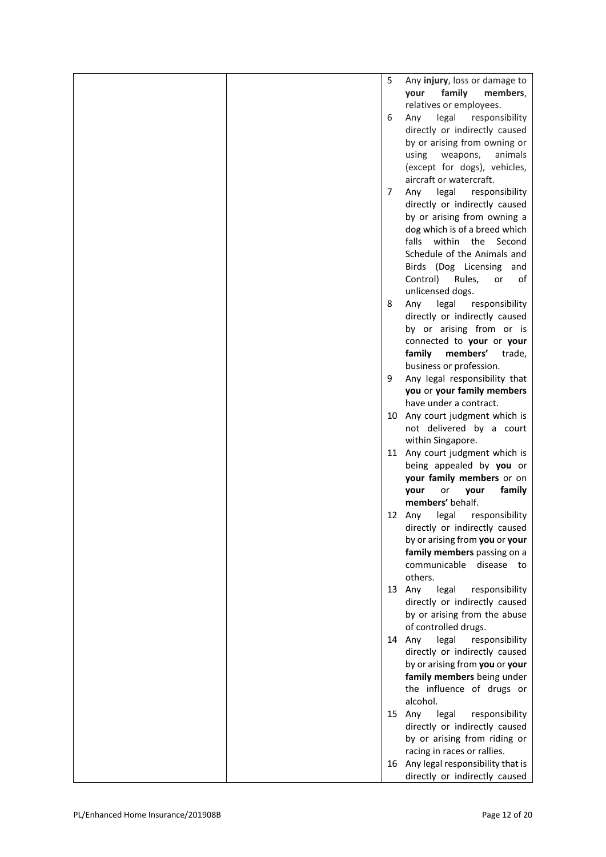|                                    | 5  | Any injury, loss or damage to<br>family<br>members,<br>your        |
|------------------------------------|----|--------------------------------------------------------------------|
|                                    | 6  | relatives or employees.<br>legal<br>responsibility<br>Any          |
|                                    |    | directly or indirectly caused<br>by or arising from owning or      |
|                                    |    | weapons,<br>animals<br>using                                       |
|                                    |    | (except for dogs), vehicles,<br>aircraft or watercraft.            |
|                                    | 7  | legal<br>Any<br>responsibility                                     |
|                                    |    | directly or indirectly caused<br>by or arising from owning a       |
|                                    |    | dog which is of a breed which<br>falls<br>within the Second        |
|                                    |    | Schedule of the Animals and<br>Birds (Dog Licensing and            |
|                                    |    | Control)<br>Rules,<br>or<br>οf<br>unlicensed dogs.                 |
|                                    | 8  | legal<br>Any<br>responsibility                                     |
|                                    |    | directly or indirectly caused<br>by or arising from or is          |
|                                    |    | connected to your or your<br>members'<br>family<br>trade,          |
|                                    | 9  | business or profession.<br>Any legal responsibility that           |
|                                    |    | you or your family members<br>have under a contract.               |
|                                    | 10 | Any court judgment which is                                        |
|                                    |    | not delivered by a court<br>within Singapore.                      |
|                                    |    | 11 Any court judgment which is                                     |
|                                    |    | being appealed by you or<br>your family members or on              |
|                                    |    | family<br>your<br>or<br>vour<br>members' behalf.                   |
|                                    |    | 12 Any<br>legal<br>responsibility                                  |
|                                    |    | directly or indirectly caused<br>by or arising from you or your    |
|                                    |    | family members passing on a                                        |
|                                    |    | communicable disease to<br>others.                                 |
|                                    |    | 13 Any<br>legal<br>responsibility<br>directly or indirectly caused |
|                                    |    | by or arising from the abuse                                       |
|                                    |    | of controlled drugs.<br>14 Any<br>legal<br>responsibility          |
|                                    |    | directly or indirectly caused                                      |
|                                    |    | by or arising from you or your<br>family members being under       |
|                                    |    | the influence of drugs or<br>alcohol.                              |
|                                    |    | 15 Any<br>legal<br>responsibility                                  |
|                                    |    | directly or indirectly caused<br>by or arising from riding or      |
|                                    |    | racing in races or rallies.                                        |
|                                    | 16 | Any legal responsibility that is<br>directly or indirectly caused  |
|                                    |    |                                                                    |
| PL/Enhanced Home Insurance/201908B |    | Page 12 of 20                                                      |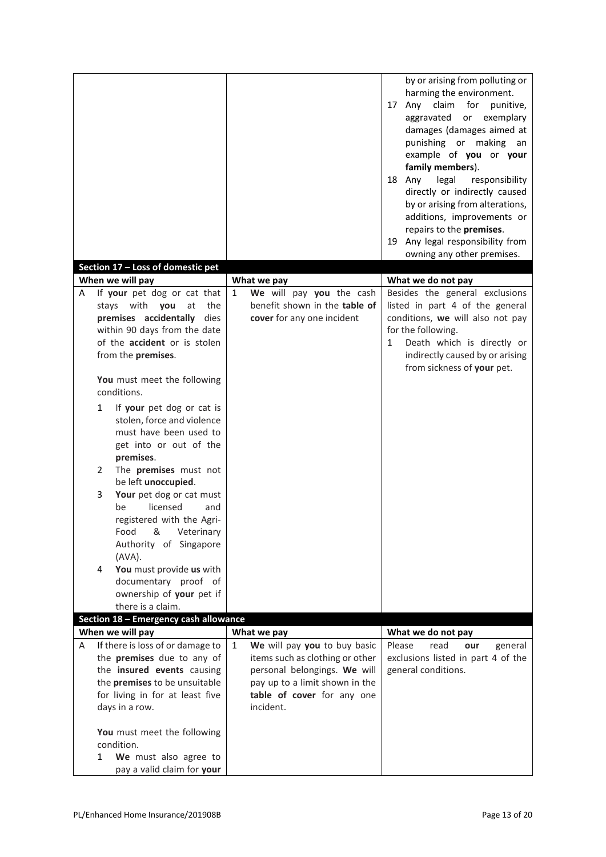|   |                                                                                                                                                                                                                                                                                                                                                                                                                                                                      |   |                                                                                                                                                                              |   | by or arising from polluting or<br>harming the environment.<br>claim for punitive,<br>17 Any<br>aggravated<br>or exemplary<br>damages (damages aimed at<br>punishing or making an<br>example of you or your<br>family members). |
|---|----------------------------------------------------------------------------------------------------------------------------------------------------------------------------------------------------------------------------------------------------------------------------------------------------------------------------------------------------------------------------------------------------------------------------------------------------------------------|---|------------------------------------------------------------------------------------------------------------------------------------------------------------------------------|---|---------------------------------------------------------------------------------------------------------------------------------------------------------------------------------------------------------------------------------|
|   |                                                                                                                                                                                                                                                                                                                                                                                                                                                                      |   |                                                                                                                                                                              |   | 18 Any<br>legal<br>responsibility<br>directly or indirectly caused<br>by or arising from alterations,<br>additions, improvements or<br>repairs to the premises.                                                                 |
|   |                                                                                                                                                                                                                                                                                                                                                                                                                                                                      |   |                                                                                                                                                                              |   | 19 Any legal responsibility from<br>owning any other premises.                                                                                                                                                                  |
|   | Section 17 - Loss of domestic pet                                                                                                                                                                                                                                                                                                                                                                                                                                    |   |                                                                                                                                                                              |   |                                                                                                                                                                                                                                 |
|   | When we will pay                                                                                                                                                                                                                                                                                                                                                                                                                                                     |   | What we pay                                                                                                                                                                  |   | What we do not pay                                                                                                                                                                                                              |
| A | If your pet dog or cat that<br>stays with<br>you<br>the<br>at<br>premises accidentally<br>dies<br>within 90 days from the date<br>of the accident or is stolen<br>from the premises.<br>You must meet the following<br>conditions.<br>$\mathbf{1}$<br>If your pet dog or cat is<br>stolen, force and violence<br>must have been used to<br>get into or out of the<br>premises.<br>The premises must not<br>2<br>be left unoccupied.<br>Your pet dog or cat must<br>3 | 1 | We will pay you the cash<br>benefit shown in the table of<br>cover for any one incident                                                                                      | 1 | Besides the general exclusions<br>listed in part 4 of the general<br>conditions, we will also not pay<br>for the following.<br>Death which is directly or<br>indirectly caused by or arising<br>from sickness of your pet.      |
|   | licensed<br>be<br>and<br>registered with the Agri-<br>Food<br>&<br>Veterinary<br>Authority of Singapore<br>(AVA).<br>You must provide us with<br>4<br>documentary proof of<br>ownership of your pet if<br>there is a claim.<br>Section 18 - Emergency cash allowance                                                                                                                                                                                                 |   |                                                                                                                                                                              |   |                                                                                                                                                                                                                                 |
|   | When we will pay                                                                                                                                                                                                                                                                                                                                                                                                                                                     |   | What we pay                                                                                                                                                                  |   | What we do not pay                                                                                                                                                                                                              |
| A | If there is loss of or damage to<br>the premises due to any of<br>the insured events causing<br>the premises to be unsuitable<br>for living in for at least five<br>days in a row.<br>You must meet the following<br>condition.<br>We must also agree to<br>$\mathbf{1}$<br>pay a valid claim for your                                                                                                                                                               | 1 | We will pay you to buy basic<br>items such as clothing or other<br>personal belongings. We will<br>pay up to a limit shown in the<br>table of cover for any one<br>incident. |   | Please<br>read<br>general<br>our<br>exclusions listed in part 4 of the<br>general conditions.                                                                                                                                   |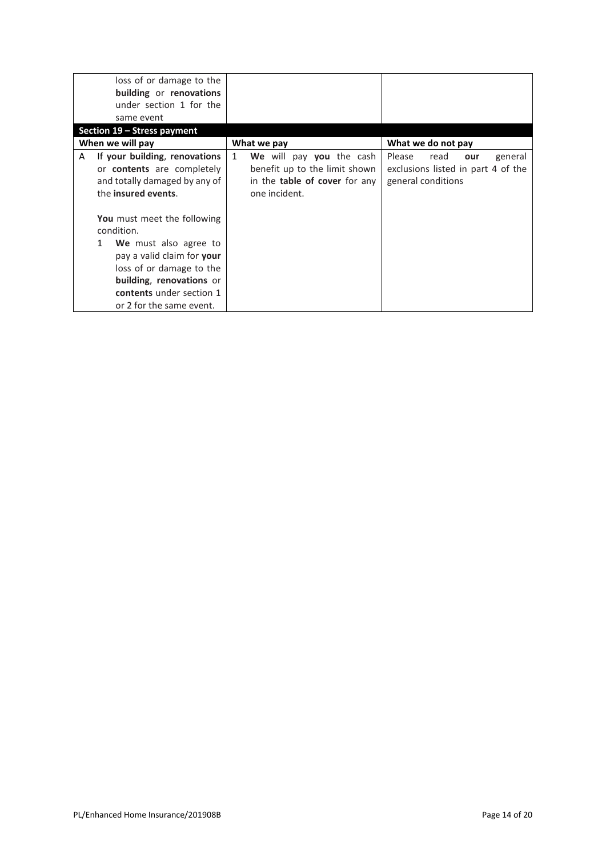|                  | loss of or damage to the<br>building or renovations<br>under section 1 for the<br>same event                                                                                                                          |              |                                                                                                                    |                              |      |     |                                               |
|------------------|-----------------------------------------------------------------------------------------------------------------------------------------------------------------------------------------------------------------------|--------------|--------------------------------------------------------------------------------------------------------------------|------------------------------|------|-----|-----------------------------------------------|
|                  | Section 19 – Stress payment                                                                                                                                                                                           |              |                                                                                                                    |                              |      |     |                                               |
| When we will pay |                                                                                                                                                                                                                       |              | What we pay                                                                                                        | What we do not pay           |      |     |                                               |
| A                | If your building, renovations<br>or <b>contents</b> are completely<br>and totally damaged by any of<br>the insured events.                                                                                            | $\mathbf{1}$ | We will pay you the cash<br>benefit up to the limit shown<br>in the <b>table of cover</b> for any<br>one incident. | Please<br>general conditions | read | our | general<br>exclusions listed in part 4 of the |
|                  | You must meet the following<br>condition.<br>We must also agree to<br>1<br>pay a valid claim for your<br>loss of or damage to the<br>building, renovations or<br>contents under section 1<br>or 2 for the same event. |              |                                                                                                                    |                              |      |     |                                               |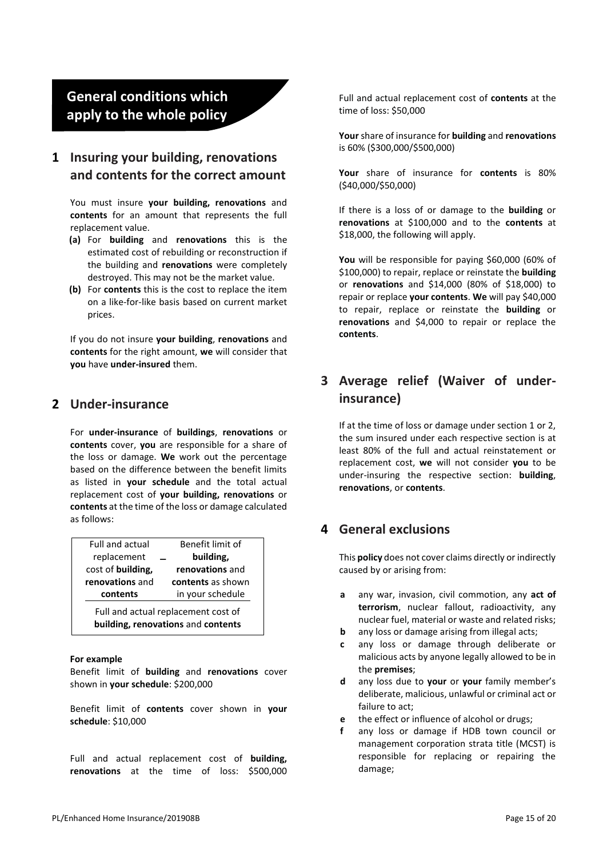# **General conditions which apply to the whole policy**

#### **1 Insuring your building, renovations and contents for the correct amount**

You must insure **your building, renovations** and **contents** for an amount that represents the full replacement value.

- **(a)** For **building** and **renovations** this is the estimated cost of rebuilding or reconstruction if the building and **renovations** were completely destroyed. This may not be the market value.
- **(b)** For **contents** this is the cost to replace the item on a like-for-like basis based on current market prices.

If you do not insure **your building**, **renovations** and **contents** for the right amount, **we** will consider that **you** have **under-insured** them.

#### **2 Under-insurance**

For **under-insurance** of **buildings**, **renovations** or **contents** cover, **you** are responsible for a share of the loss or damage. **We** work out the percentage based on the difference between the benefit limits as listed in **your schedule** and the total actual replacement cost of **your building, renovations** or **contents** at the time of the loss or damage calculated as follows:

| <b>Full and actual</b>                                                    | Benefit limit of  |  |  |  |  |  |
|---------------------------------------------------------------------------|-------------------|--|--|--|--|--|
| replacement                                                               | building,         |  |  |  |  |  |
| cost of building,                                                         | renovations and   |  |  |  |  |  |
| renovations and                                                           | contents as shown |  |  |  |  |  |
| contents                                                                  | in your schedule  |  |  |  |  |  |
| Full and actual replacement cost of<br>building, renovations and contents |                   |  |  |  |  |  |

#### **For example**

Benefit limit of **building** and **renovations** cover shown in **your schedule**: \$200,000

Benefit limit of **contents** cover shown in **your schedule**: \$10,000

Full and actual replacement cost of **building, renovations** at the time of loss: \$500,000 Full and actual replacement cost of **contents** at the time of loss: \$50,000

**Your** share of insurance for **building** and **renovations** is 60% (\$300,000/\$500,000)

**Your** share of insurance for **contents** is 80% (\$40,000/\$50,000)

If there is a loss of or damage to the **building** or **renovations** at \$100,000 and to the **contents** at \$18,000, the following will apply.

**You** will be responsible for paying \$60,000 (60% of \$100,000) to repair, replace or reinstate the **building** or **renovations** and \$14,000 (80% of \$18,000) to repair or replace **your contents**. **We** will pay \$40,000 to repair, replace or reinstate the **building** or **renovations** and \$4,000 to repair or replace the **contents**.

# **3 Average relief (Waiver of underinsurance)**

If at the time of loss or damage under section 1 or 2, the sum insured under each respective section is at least 80% of the full and actual reinstatement or replacement cost, **we** will not consider **you** to be under-insuring the respective section: **building**, **renovations**, or **contents**.

#### **4 General exclusions**

This **policy** does not cover claims directly or indirectly caused by or arising from:

- **a** any war, invasion, civil commotion, any **act of terrorism**, nuclear fallout, radioactivity, any nuclear fuel, material or waste and related risks;
- **b** any loss or damage arising from illegal acts;
- **c** any loss or damage through deliberate or malicious acts by anyone legally allowed to be in the **premises**;
- **d** any loss due to **your** or **your** family member's deliberate, malicious, unlawful or criminal act or failure to act;
- **e** the effect or influence of alcohol or drugs;
- **f** any loss or damage if HDB town council or management corporation strata title (MCST) is responsible for replacing or repairing the damage;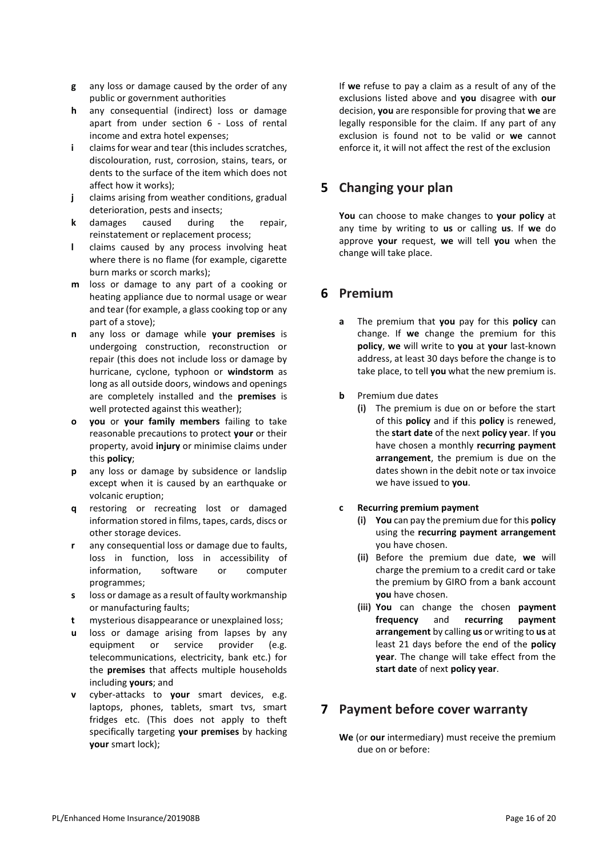- **g** any loss or damage caused by the order of any public or government authorities
- **h** any consequential (indirect) loss or damage apart from under section 6 - Loss of rental income and extra hotel expenses;
- **i** claims for wear and tear (this includes scratches, discolouration, rust, corrosion, stains, tears, or dents to the surface of the item which does not affect how it works);
- **j** claims arising from weather conditions, gradual deterioration, pests and insects;
- **k** damages caused during the repair, reinstatement or replacement process;
- **l** claims caused by any process involving heat where there is no flame (for example, cigarette burn marks or scorch marks);
- **m** loss or damage to any part of a cooking or heating appliance due to normal usage or wear and tear (for example, a glass cooking top or any part of a stove);
- **n** any loss or damage while **your premises** is undergoing construction, reconstruction or repair (this does not include loss or damage by hurricane, cyclone, typhoon or **windstorm** as long as all outside doors, windows and openings are completely installed and the **premises** is well protected against this weather);
- **o you** or **your family members** failing to take reasonable precautions to protect **your** or their property, avoid **injury** or minimise claims under this **policy**;
- **p** any loss or damage by subsidence or landslip except when it is caused by an earthquake or volcanic eruption;
- **q** restoring or recreating lost or damaged information stored in films, tapes, cards, discs or other storage devices.
- **r** any consequential loss or damage due to faults, loss in function, loss in accessibility of information, software or computer programmes;
- **s** loss or damage as a result of faulty workmanship or manufacturing faults;
- **t** mysterious disappearance or unexplained loss;
- **u** loss or damage arising from lapses by any equipment or service provider (e.g. telecommunications, electricity, bank etc.) for the **premises** that affects multiple households including **yours**; and
- **v** cyber-attacks to **your** smart devices, e.g. laptops, phones, tablets, smart tvs, smart fridges etc. (This does not apply to theft specifically targeting **your premises** by hacking **your** smart lock);

If **we** refuse to pay a claim as a result of any of the exclusions listed above and **you** disagree with **our** decision, **you** are responsible for proving that **we** are legally responsible for the claim. If any part of any exclusion is found not to be valid or **we** cannot enforce it, it will not affect the rest of the exclusion

## **5 Changing your plan**

**You** can choose to make changes to **your policy** at any time by writing to **us** or calling **us**. If **we** do approve **your** request, **we** will tell **you** when the change will take place.

#### **6 Premium**

- **a** The premium that **you** pay for this **policy** can change. If **we** change the premium for this **policy**, **we** will write to **you** at **your** last-known address, at least 30 days before the change is to take place, to tell **you** what the new premium is.
- **b** Premium due dates
	- **(i)** The premium is due on or before the start of this **policy** and if this **policy** is renewed, the **start date** of the next **policy year**. If **you** have chosen a monthly **recurring payment arrangement**, the premium is due on the dates shown in the debit note or tax invoice we have issued to **you**.
- **c Recurring premium payment**
	- **(i) You** can pay the premium due for this **policy** using the **recurring payment arrangement** you have chosen.
	- **(ii)** Before the premium due date, **we** will charge the premium to a credit card or take the premium by GIRO from a bank account **you** have chosen.
	- **(iii) You** can change the chosen **payment frequency** and **recurring payment arrangement** by calling **us** or writing to **us** at least 21 days before the end of the **policy year**. The change will take effect from the **start date** of next **policy year**.

#### **7 Payment before cover warranty**

**We** (or **our** intermediary) must receive the premium due on or before: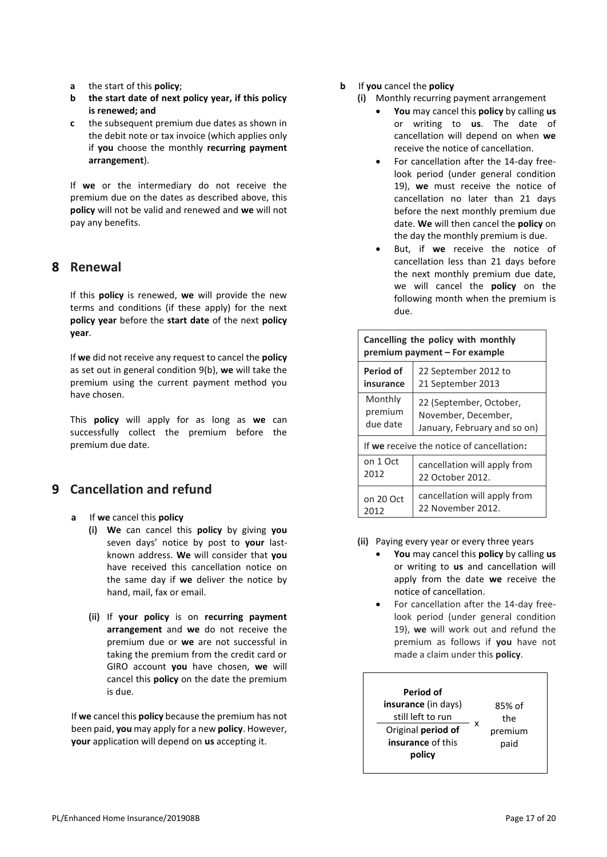- **a** the start of this **policy**;
- **b the start date of next policy year, if this policy is renewed; and**
- **c** the subsequent premium due dates as shown in the debit note or tax invoice (which applies only if **you** choose the monthly **recurring payment arrangement**).

If **we** or the intermediary do not receive the premium due on the dates as described above, this **policy** will not be valid and renewed and **we** will not pay any benefits.

#### **8 Renewal**

If this **policy** is renewed, **we** will provide the new terms and conditions (if these apply) for the next **policy year** before the **start date** of the next **policy year**.

If **we** did not receive any request to cancel the **policy** as set out in general condition 9(b), **we** will take the premium using the current payment method you have chosen.

This **policy** will apply for as long as **we** can successfully collect the premium before the premium due date.

## **9 Cancellation and refund**

- **a** If **we** cancel this **policy**
	- **(i) We** can cancel this **policy** by giving **you** seven days' notice by post to **your** lastknown address. **We** will consider that **you** have received this cancellation notice on the same day if **we** deliver the notice by hand, mail, fax or email.
	- **(ii)** If **your policy** is on **recurring payment arrangement** and **we** do not receive the premium due or **we** are not successful in taking the premium from the credit card or GIRO account **you** have chosen, **we** will cancel this **policy** on the date the premium is due.

If **we** cancel this **policy** because the premium has not been paid, **you** may apply for a new **policy**. However, **your** application will depend on **us** accepting it.

- **b** If **you** cancel the **policy**
	- **(i)** Monthly recurring payment arrangement
		- **You** may cancel this **policy** by calling **us** or writing to **us**. The date of cancellation will depend on when **we** receive the notice of cancellation.
		- For cancellation after the 14-day freelook period (under general condition 19), **we** must receive the notice of cancellation no later than 21 days before the next monthly premium due date. **We** will then cancel the **policy** on the day the monthly premium is due.
		- But, if we receive the notice of cancellation less than 21 days before the next monthly premium due date, we will cancel the **policy** on the following month when the premium is due.

| Cancelling the policy with monthly<br>premium payment - For example |                              |
|---------------------------------------------------------------------|------------------------------|
| Period of                                                           | 22 September 2012 to         |
| insurance                                                           | 21 September 2013            |
| Monthly                                                             | 22 (September, October,      |
| premium                                                             | November, December,          |
| due date                                                            | January, February and so on) |
| If we receive the notice of cancellation:                           |                              |
| on 1 Oct                                                            | cancellation will apply from |
| 2012                                                                | 22 October 2012.             |
| on 20 Oct                                                           | cancellation will apply from |
| 2012                                                                | 22 November 2012.            |

- **(ii)** Paying every year or every three years
	- **You** may cancel this **policy** by calling **us**  or writing to **us** and cancellation will apply from the date **we** receive the notice of cancellation.
	- For cancellation after the 14-day freelook period (under general condition 19), **we** will work out and refund the premium as follows if **you** have not made a claim under this **policy**.

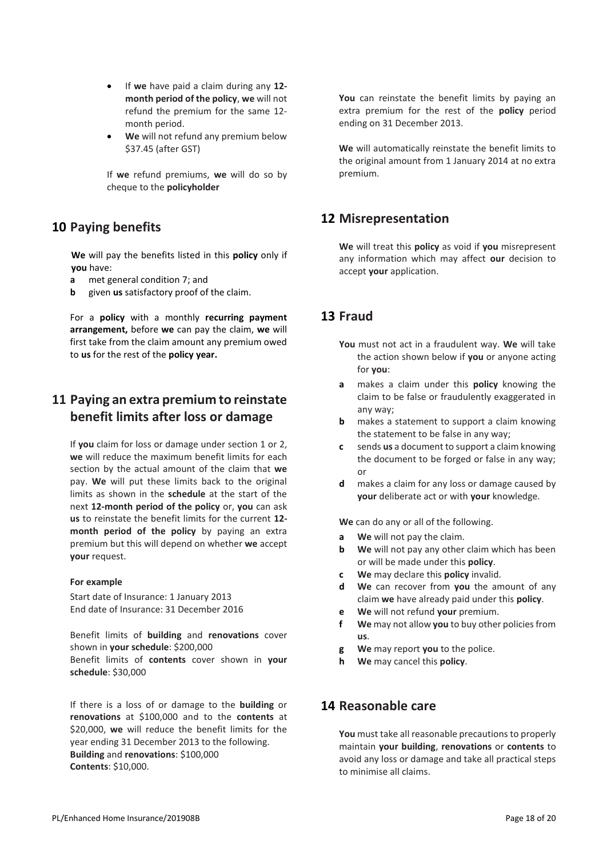- If **we** have paid a claim during any **12 month period of the policy**, **we** will not refund the premium for the same 12 month period.
- **We** will not refund any premium below \$37.45 (after GST)

If **we** refund premiums, **we** will do so by cheque to the **policyholder**

## **10 Paying benefits**

**We** will pay the benefits listed in this **policy** only if **you** have:

- **a** met general condition 7; and
- **b** given **us** satisfactory proof of the claim.

For a **policy** with a monthly **recurring payment arrangement,** before **we** can pay the claim, **we** will first take from the claim amount any premium owed to **us** for the rest of the **policy year.**

# **11 Paying an extra premium to reinstate benefit limits after loss or damage**

If **you** claim for loss or damage under section 1 or 2, **we** will reduce the maximum benefit limits for each section by the actual amount of the claim that **we**  pay. **We** will put these limits back to the original limits as shown in the **schedule** at the start of the next **12-month period of the policy** or, **you** can ask **us** to reinstate the benefit limits for the current **12 month period of the policy** by paying an extra premium but this will depend on whether **we** accept **your** request.

#### **For example**

Start date of Insurance: 1 January 2013 End date of Insurance: 31 December 2016

Benefit limits of **building** and **renovations** cover shown in **your schedule**: \$200,000 Benefit limits of **contents** cover shown in **your schedule**: \$30,000

If there is a loss of or damage to the **building** or **renovations** at \$100,000 and to the **contents** at \$20,000, **we** will reduce the benefit limits for the year ending 31 December 2013 to the following. **Building** and **renovations**: \$100,000 **Contents**: \$10,000.

**You** can reinstate the benefit limits by paying an extra premium for the rest of the **policy** period ending on 31 December 2013.

**We** will automatically reinstate the benefit limits to the original amount from 1 January 2014 at no extra premium.

#### **12 Misrepresentation**

**We** will treat this **policy** as void if **you** misrepresent any information which may affect **our** decision to accept **your** application.

#### **13 Fraud**

- **You** must not act in a fraudulent way. **We** will take the action shown below if **you** or anyone acting for **you**:
- **a** makes a claim under this **policy** knowing the claim to be false or fraudulently exaggerated in any way;
- **b** makes a statement to support a claim knowing the statement to be false in any way;
- **c** sends **us** a document to support a claim knowing the document to be forged or false in any way; or
- **d** makes a claim for any loss or damage caused by **your** deliberate act or with **your** knowledge.

**We** can do any or all of the following.

- **a We** will not pay the claim.
- **b We** will not pay any other claim which has been or will be made under this **policy**.
- **c We** may declare this **policy** invalid.
- **d We** can recover from **you** the amount of any claim **we** have already paid under this **policy**.
- **e We** will not refund **your** premium.
- **f We** may not allow **you** to buy other policies from **us**.
- **g We** may report **you** to the police.
- **h We** may cancel this **policy**.

#### **14 Reasonable care**

**You** must take all reasonable precautions to properly maintain **your building**, **renovations** or **contents** to avoid any loss or damage and take all practical steps to minimise all claims.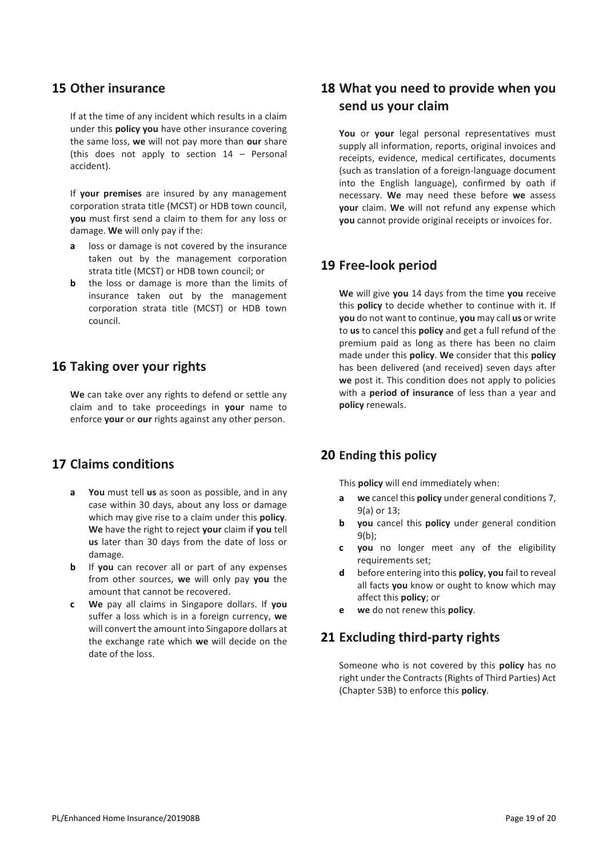#### **15 Other insurance**

If at the time of any incident which results in a claim under this **policy you** have other insurance covering the same loss, **we** will not pay more than **our** share (this does not apply to section 14 – Personal accident).

If **your premises** are insured by any management corporation strata title (MCST) or HDB town council, **you** must first send a claim to them for any loss or damage. **We** will only pay if the:

- **a** loss or damage is not covered by the insurance taken out by the management corporation strata title (MCST) or HDB town council; or
- **b** the loss or damage is more than the limits of insurance taken out by the management corporation strata title (MCST) or HDB town council.

#### **16 Taking over your rights**

**We** can take over any rights to defend or settle any claim and to take proceedings in **your** name to enforce **your** or **our** rights against any other person.

#### **17 Claims conditions**

- **a You** must tell **us** as soon as possible, and in any case within 30 days, about any loss or damage which may give rise to a claim under this **policy**. **We** have the right to reject **your** claim if **you** tell **us** later than 30 days from the date of loss or damage.
- **b** If **you** can recover all or part of any expenses from other sources, **we** will only pay **you** the amount that cannot be recovered.
- **c We** pay all claims in Singapore dollars. If **you**  suffer a loss which is in a foreign currency, **we**  will convert the amount into Singapore dollars at the exchange rate which **we** will decide on the date of the loss.

## **18 What you need to provide when you send us your claim**

**You** or **your** legal personal representatives must supply all information, reports, original invoices and receipts, evidence, medical certificates, documents (such as translation of a foreign-language document into the English language), confirmed by oath if necessary. **We** may need these before **we** assess **your** claim. **We** will not refund any expense which **you** cannot provide original receipts or invoices for.

#### **19 Free-look period**

**We** will give **you** 14 days from the time **you** receive this **policy** to decide whether to continue with it. If **you** do not want to continue, **you** may call **us** or write to **us** to cancel this **policy** and get a full refund of the premium paid as long as there has been no claim made under this **policy**. **We** consider that this **policy**  has been delivered (and received) seven days after **we** post it. This condition does not apply to policies with a **period of insurance** of less than a year and **policy** renewals.

#### **20 Ending this policy**

This **policy** will end immediately when:

- **a we** cancel this **policy** under general conditions 7, 9(a) or 13;
- **b you** cancel this **policy** under general condition 9(b);
- **c you** no longer meet any of the eligibility requirements set;
- **d** before entering into this **policy**, **you** fail to reveal all facts **you** know or ought to know which may affect this **policy**; or
- **e we** do not renew this **policy**.

#### **21 Excluding third-party rights**

Someone who is not covered by this **policy** has no right under the Contracts (Rights of Third Parties) Act (Chapter 53B) to enforce this **policy**.